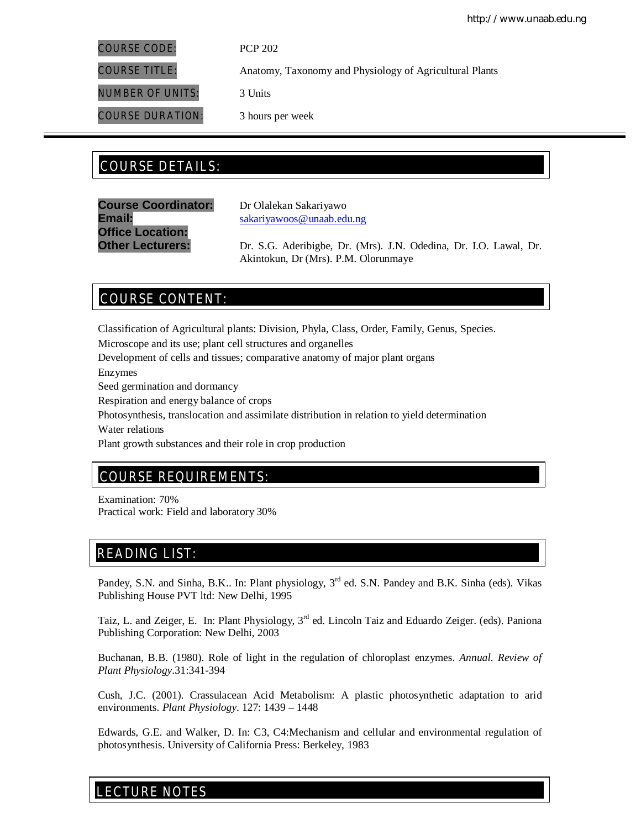http://www.unaab.edu.ng

COURSE CODE: PCP 202

COURSE TITLE: Anatomy, Taxonomy and Physiology of Agricultural Plants

NUMBER OF UNITS: 3 Units

COURSE DURATION: 3 hours per week

# COURSE DETAILS: COURSE DETAILS:

**Course Coordinator:** Dr Olalekan Sakariyawo **Office Location:**

**Email:** sakariyawoos@unaab.edu.ng

**Other Lecturers:** Dr. S.G. Aderibigbe, Dr. (Mrs). J.N. Odedina, Dr. I.O. Lawal, Dr. Akintokun, Dr (Mrs). P.M. Olorunmaye

## COURSE CONTENT:

Classification of Agricultural plants: Division, Phyla, Class, Order, Family, Genus, Species.

Microscope and its use; plant cell structures and organelles

Development of cells and tissues; comparative anatomy of major plant organs

Enzymes

Seed germination and dormancy

Respiration and energy balance of crops

Photosynthesis, translocation and assimilate distribution in relation to yield determination Water relations

Plant growth substances and their role in crop production

# COURSE REQUIREMENTS:

Examination: 70% Practical work: Field and laboratory 30%

# READING LIST:

Pandey, S.N. and Sinha, B.K.. In: Plant physiology, 3<sup>rd</sup> ed. S.N. Pandey and B.K. Sinha (eds). Vikas Publishing House PVT ltd: New Delhi, 1995

Taiz, L. and Zeiger, E. In: Plant Physiology, 3<sup>rd</sup> ed. Lincoln Taiz and Eduardo Zeiger. (eds). Paniona Publishing Corporation: New Delhi, 2003

Buchanan, B.B. (1980). Role of light in the regulation of chloroplast enzymes. *Annual. Review of Plant Physiology*.31:341-394

Cush, J.C. (2001). Crassulacean Acid Metabolism: A plastic photosynthetic adaptation to arid environments. *Plant Physiology*. 127: 1439 – 1448

Edwards, G.E. and Walker, D. In: C3, C4:Mechanism and cellular and environmental regulation of photosynthesis. University of California Press: Berkeley, 1983

### E LECTURE NOTES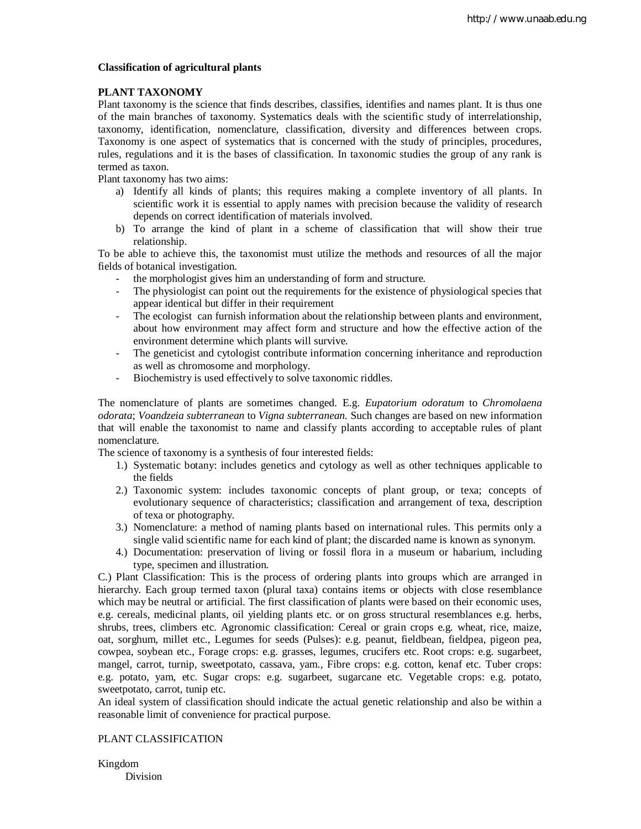#### **Classification of agricultural plants**

#### **PLANT TAXONOMY**

Plant taxonomy is the science that finds describes, classifies, identifies and names plant. It is thus one of the main branches of taxonomy. Systematics deals with the scientific study of interrelationship, taxonomy, identification, nomenclature, classification, diversity and differences between crops. Taxonomy is one aspect of systematics that is concerned with the study of principles, procedures, rules, regulations and it is the bases of classification. In taxonomic studies the group of any rank is termed as taxon.

Plant taxonomy has two aims:

- a) Identify all kinds of plants; this requires making a complete inventory of all plants. In scientific work it is essential to apply names with precision because the validity of research depends on correct identification of materials involved.
- b) To arrange the kind of plant in a scheme of classification that will show their true relationship.

To be able to achieve this, the taxonomist must utilize the methods and resources of all the major fields of botanical investigation.

- the morphologist gives him an understanding of form and structure.
- The physiologist can point out the requirements for the existence of physiological species that appear identical but differ in their requirement
- The ecologist can furnish information about the relationship between plants and environment, about how environment may affect form and structure and how the effective action of the environment determine which plants will survive.
- The geneticist and cytologist contribute information concerning inheritance and reproduction as well as chromosome and morphology.
- Biochemistry is used effectively to solve taxonomic riddles.

The nomenclature of plants are sometimes changed. E.g. *Eupatorium odoratum* to *Chromolaena odorata*; *Voandzeia subterranean* to *Vigna subterranean.* Such changes are based on new information that will enable the taxonomist to name and classify plants according to acceptable rules of plant nomenclature.

The science of taxonomy is a synthesis of four interested fields:

- 1.) Systematic botany: includes genetics and cytology as well as other techniques applicable to the fields
- 2.) Taxonomic system: includes taxonomic concepts of plant group, or texa; concepts of evolutionary sequence of characteristics; classification and arrangement of texa, description of texa or photography.
- 3.) Nomenclature: a method of naming plants based on international rules. This permits only a single valid scientific name for each kind of plant; the discarded name is known as synonym.
- 4.) Documentation: preservation of living or fossil flora in a museum or habarium, including type, specimen and illustration.

C.) Plant Classification: This is the process of ordering plants into groups which are arranged in hierarchy. Each group termed taxon (plural taxa) contains items or objects with close resemblance which may be neutral or artificial. The first classification of plants were based on their economic uses, e.g. cereals, medicinal plants, oil yielding plants etc. or on gross structural resemblances e.g. herbs, shrubs, trees, climbers etc. Agronomic classification: Cereal or grain crops e.g. wheat, rice, maize, oat, sorghum, millet etc., Legumes for seeds (Pulses): e.g. peanut, fieldbean, fieldpea, pigeon pea, cowpea, soybean etc., Forage crops: e.g. grasses, legumes, crucifers etc. Root crops: e.g. sugarbeet, mangel, carrot, turnip, sweetpotato, cassava, yam., Fibre crops: e.g. cotton, kenaf etc. Tuber crops: e.g. potato, yam, etc. Sugar crops: e.g. sugarbeet, sugarcane etc. Vegetable crops: e.g. potato, sweetpotato, carrot, tunip etc.

An ideal system of classification should indicate the actual genetic relationship and also be within a reasonable limit of convenience for practical purpose.

#### PLANT CLASSIFICATION

Kingdom Division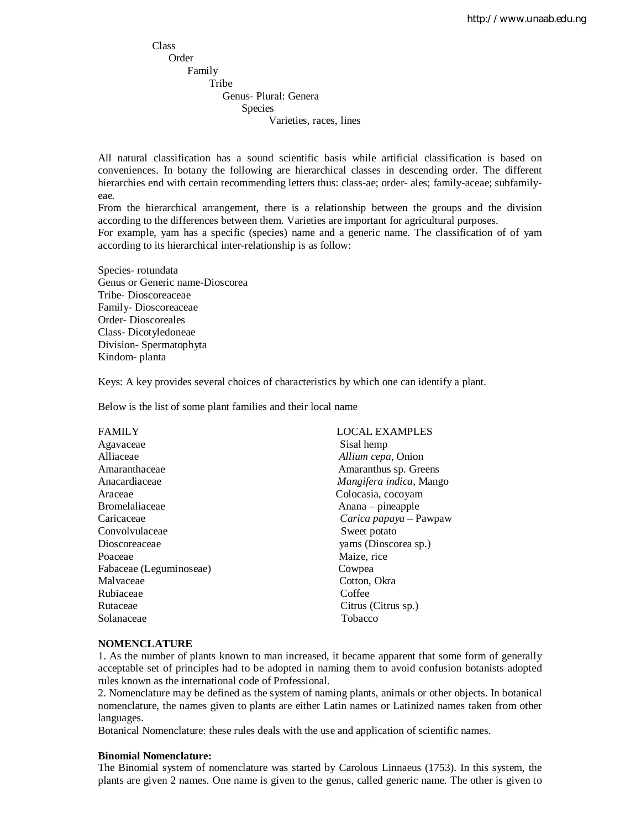Class Order Family Tribe Genus- Plural: Genera **Species** Varieties, races, lines

All natural classification has a sound scientific basis while artificial classification is based on conveniences. In botany the following are hierarchical classes in descending order. The different hierarchies end with certain recommending letters thus: class-ae; order- ales; family-aceae; subfamilyeae.

From the hierarchical arrangement, there is a relationship between the groups and the division according to the differences between them. Varieties are important for agricultural purposes.

For example, yam has a specific (species) name and a generic name. The classification of of yam according to its hierarchical inter-relationship is as follow:

Species- rotundata Genus or Generic name-Dioscorea Tribe- Dioscoreaceae Family- Dioscoreaceae Order- Dioscoreales Class- Dicotyledoneae Division- Spermatophyta Kindom- planta

Keys: A key provides several choices of characteristics by which one can identify a plant.

Below is the list of some plant families and their local name

| <b>FAMILY</b>           | <b>LOCAL EXAMPLES</b>      |
|-------------------------|----------------------------|
| Agavaceae               | Sisal hemp                 |
| Alliaceae               | <i>Allium cepa</i> , Onion |
| Amaranthaceae           | Amaranthus sp. Greens      |
| Anacardiaceae           | Mangifera indica, Mango    |
| Araceae                 | Colocasia, cocoyam         |
| <b>Bromelaliaceae</b>   | Anana – pineapple          |
| Caricaceae              | Carica papaya $-$ Pawpaw   |
| Convolvulaceae          | Sweet potato               |
| Dioscoreaceae           | yams (Dioscorea sp.)       |
| Poaceae                 | Maize, rice                |
| Fabaceae (Leguminoseae) | Cowpea                     |
| Malyaceae               | Cotton, Okra               |
| Rubiaceae               | Coffee                     |
| Rutaceae                | Citrus (Citrus sp.)        |
| Solanaceae              | Tobacco                    |

#### **NOMENCLATURE**

1. As the number of plants known to man increased, it became apparent that some form of generally acceptable set of principles had to be adopted in naming them to avoid confusion botanists adopted rules known as the international code of Professional.

2. Nomenclature may be defined as the system of naming plants, animals or other objects. In botanical nomenclature, the names given to plants are either Latin names or Latinized names taken from other languages.

Botanical Nomenclature: these rules deals with the use and application of scientific names.

#### **Binomial Nomenclature:**

The Binomial system of nomenclature was started by Carolous Linnaeus (1753). In this system, the plants are given 2 names. One name is given to the genus, called generic name. The other is given to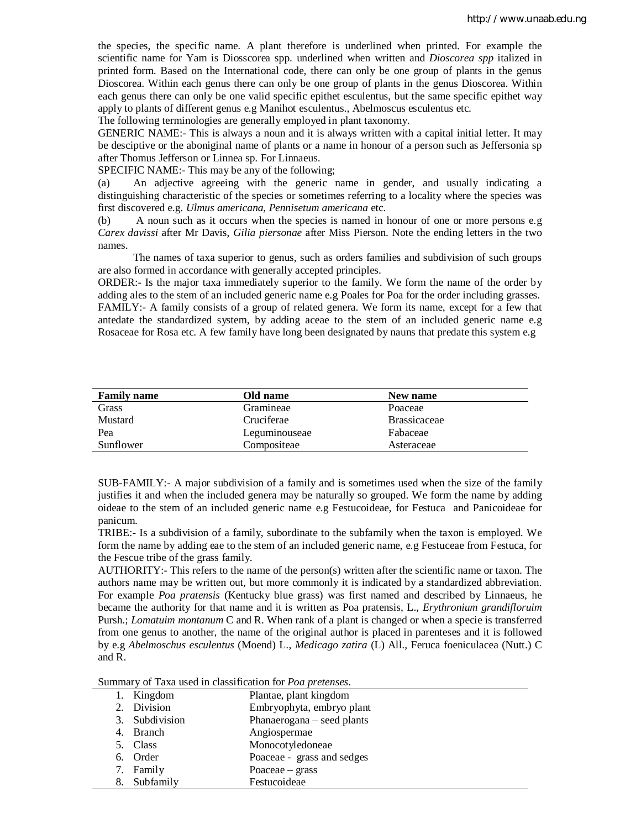the species, the specific name. A plant therefore is underlined when printed. For example the scientific name for Yam is Diosscorea spp. underlined when written and *Dioscorea spp* italized in printed form. Based on the International code, there can only be one group of plants in the genus Dioscorea. Within each genus there can only be one group of plants in the genus Dioscorea. Within each genus there can only be one valid specific epithet esculentus, but the same specific epithet way apply to plants of different genus e.g Manihot esculentus., Abelmoscus esculentus etc.

The following terminologies are generally employed in plant taxonomy.

GENERIC NAME:- This is always a noun and it is always written with a capital initial letter. It may be desciptive or the aboniginal name of plants or a name in honour of a person such as Jeffersonia sp after Thomus Jefferson or Linnea sp. For Linnaeus.

SPECIFIC NAME:- This may be any of the following;

(a) An adjective agreeing with the generic name in gender, and usually indicating a distinguishing characteristic of the species or sometimes referring to a locality where the species was first discovered e.g. *Ulmus americana*, *Pennisetum americana* etc.

(b) A noun such as it occurs when the species is named in honour of one or more persons e.g *Carex davissi* after Mr Davis, *Gilia piersonae* after Miss Pierson. Note the ending letters in the two names.

The names of taxa superior to genus, such as orders families and subdivision of such groups are also formed in accordance with generally accepted principles.

ORDER:- Is the major taxa immediately superior to the family. We form the name of the order by adding ales to the stem of an included generic name e.g Poales for Poa for the order including grasses. FAMILY:- A family consists of a group of related genera. We form its name, except for a few that antedate the standardized system, by adding aceae to the stem of an included generic name e.g Rosaceae for Rosa etc. A few family have long been designated by nauns that predate this system e.g

| <b>Family name</b> | Old name      | <b>New name</b>     |
|--------------------|---------------|---------------------|
| Grass              | Gramineae     | Poaceae             |
| Mustard            | Cruciferae    | <b>Brassicaceae</b> |
| Pea                | Leguminouseae | Fabaceae            |
| Sunflower          | Compositeae   | Asteraceae          |

SUB-FAMILY:- A major subdivision of a family and is sometimes used when the size of the family justifies it and when the included genera may be naturally so grouped. We form the name by adding oideae to the stem of an included generic name e.g Festucoideae, for Festuca and Panicoideae for panicum.

TRIBE:- Is a subdivision of a family, subordinate to the subfamily when the taxon is employed. We form the name by adding eae to the stem of an included generic name, e.g Festuceae from Festuca, for the Fescue tribe of the grass family.

AUTHORITY:- This refers to the name of the person(s) written after the scientific name or taxon. The authors name may be written out, but more commonly it is indicated by a standardized abbreviation. For example *Poa pratensis* (Kentucky blue grass) was first named and described by Linnaeus, he became the authority for that name and it is written as Poa pratensis, L., *Erythronium grandifloruim*  Pursh.; *Lomatuim montanum* C and R. When rank of a plant is changed or when a specie is transferred from one genus to another, the name of the original author is placed in parenteses and it is followed by e.g *Abelmoschus esculentus* (Moend) L., *Medicago zatira* (L) All., Feruca foeniculacea (Nutt.) C and R.

Summary of Taxa used in classification for *Poa pretenses*.

|    | Kingdom        | Plantae, plant kingdom     |
|----|----------------|----------------------------|
|    | Division       | Embryophyta, embryo plant  |
|    | 3. Subdivision | Phanaerogana – seed plants |
| 4. | Branch         | Angiospermae               |
|    | Class          | Monocotyledoneae           |
| 6. | Order          | Poaceae - grass and sedges |
| 7. | Family         | Poaceae $-$ grass          |
| 8. | Subfamily      | Festucoideae               |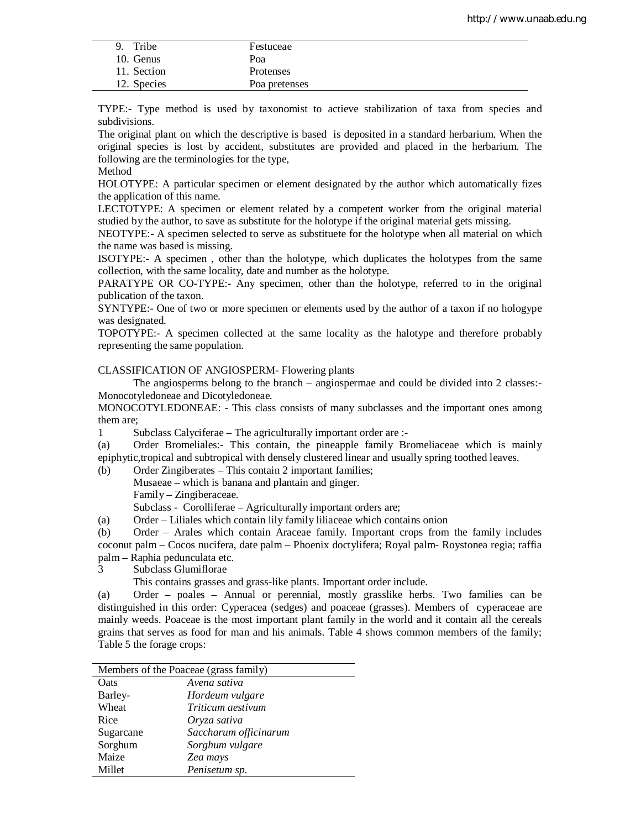| Tribe       | Festuceae     |  |
|-------------|---------------|--|
| 10. Genus   | Poa           |  |
| 11. Section | Protenses     |  |
| 12. Species | Poa pretenses |  |

TYPE:- Type method is used by taxonomist to actieve stabilization of taxa from species and subdivisions.

The original plant on which the descriptive is based is deposited in a standard herbarium. When the original species is lost by accident, substitutes are provided and placed in the herbarium. The following are the terminologies for the type,

Method

HOLOTYPE: A particular specimen or element designated by the author which automatically fizes the application of this name.

LECTOTYPE: A specimen or element related by a competent worker from the original material studied by the author, to save as substitute for the holotype if the original material gets missing.

NEOTYPE:- A specimen selected to serve as substituete for the holotype when all material on which the name was based is missing.

ISOTYPE:- A specimen , other than the holotype, which duplicates the holotypes from the same collection, with the same locality, date and number as the holotype.

PARATYPE OR CO-TYPE:- Any specimen, other than the holotype, referred to in the original publication of the taxon.

SYNTYPE:- One of two or more specimen or elements used by the author of a taxon if no hologype was designated.

TOPOTYPE:- A specimen collected at the same locality as the halotype and therefore probably representing the same population.

CLASSIFICATION OF ANGIOSPERM- Flowering plants

The angiosperms belong to the branch – angiospermae and could be divided into 2 classes:- Monocotyledoneae and Dicotyledoneae.

MONOCOTYLEDONEAE: - This class consists of many subclasses and the important ones among them are;

1 Subclass Calyciferae – The agriculturally important order are :-

(a) Order Bromeliales:- This contain, the pineapple family Bromeliaceae which is mainly epiphytic,tropical and subtropical with densely clustered linear and usually spring toothed leaves.

(b) Order Zingiberates – This contain 2 important families;

Musaeae – which is banana and plantain and ginger.

Family – Zingiberaceae.

Subclass - Corolliferae – Agriculturally important orders are;

(a) Order – Liliales which contain lily family liliaceae which contains onion

(b) Order – Arales which contain Araceae family. Important crops from the family includes coconut palm – Cocos nucifera, date palm – Phoenix doctylifera; Royal palm- Roystonea regia; raffia palm – Raphia pedunculata etc.

3 Subclass Glumiflorae

This contains grasses and grass-like plants. Important order include.

(a) Order – poales – Annual or perennial, mostly grasslike herbs. Two families can be distinguished in this order: Cyperacea (sedges) and poaceae (grasses). Members of cyperaceae are mainly weeds. Poaceae is the most important plant family in the world and it contain all the cereals grains that serves as food for man and his animals. Table 4 shows common members of the family; Table 5 the forage crops:

| Members of the Poaceae (grass family) |                       |  |
|---------------------------------------|-----------------------|--|
| Oats                                  | Avena sativa          |  |
| Barley-                               | Hordeum vulgare       |  |
| Wheat                                 | Triticum aestivum     |  |
| Rice                                  | Oryza sativa          |  |
| Sugarcane                             | Saccharum officinarum |  |
| Sorghum                               | Sorghum vulgare       |  |
| Maize                                 | Zea mays              |  |
| Millet                                | Penisetum sp.         |  |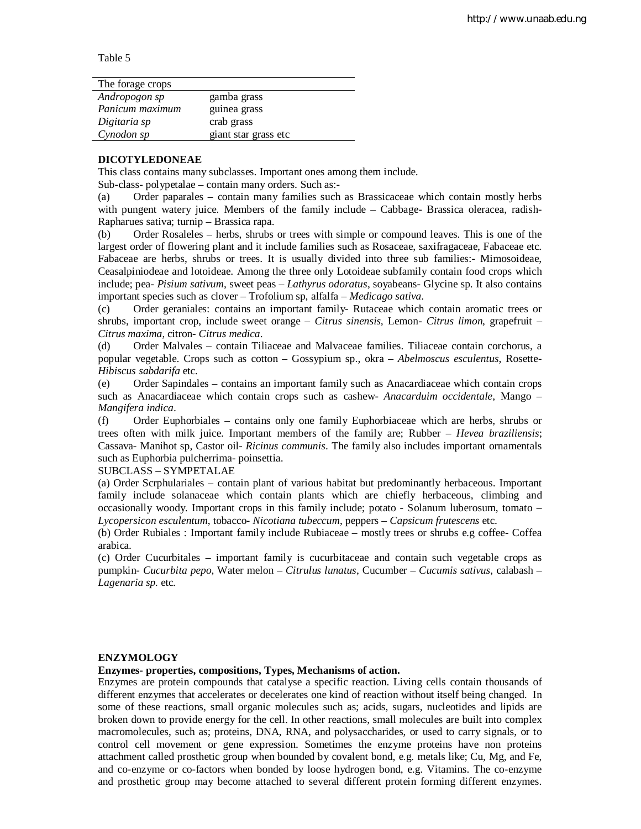Table 5

| The forage crops |                      |
|------------------|----------------------|
| Andropogon sp    | gamba grass          |
| Panicum maximum  | guinea grass         |
| Digitaria sp     | crab grass           |
| Cynodon sp       | giant star grass etc |

#### **DICOTYLEDONEAE**

This class contains many subclasses. Important ones among them include.

Sub-class- polypetalae – contain many orders. Such as:-

(a) Order paparales – contain many families such as Brassicaceae which contain mostly herbs with pungent watery juice. Members of the family include – Cabbage- Brassica oleracea, radish-Rapharues sativa; turnip – Brassica rapa.

(b) Order Rosaleles – herbs, shrubs or trees with simple or compound leaves. This is one of the largest order of flowering plant and it include families such as Rosaceae, saxifragaceae, Fabaceae etc. Fabaceae are herbs, shrubs or trees. It is usually divided into three sub families:- Mimosoideae, Ceasalpiniodeae and lotoideae. Among the three only Lotoideae subfamily contain food crops which include; pea- *Pisium sativum*, sweet peas – *Lathyrus odoratus*, soyabeans- Glycine sp. It also contains important species such as clover – Trofolium sp, alfalfa – *Medicago sativa*.

(c) Order geraniales: contains an important family- Rutaceae which contain aromatic trees or shrubs, important crop, include sweet orange – *Citrus sinensis,* Lemon- *Citrus limon*, grapefruit – *Citrus maxima*, citron- *Citrus medica*.

(d) Order Malvales – contain Tiliaceae and Malvaceae families. Tiliaceae contain corchorus, a popular vegetable. Crops such as cotton – Gossypium sp., okra – *Abelmoscus esculentus*, Rosette-*Hibiscus sabdarifa* etc.

(e) Order Sapindales – contains an important family such as Anacardiaceae which contain crops such as Anacardiaceae which contain crops such as cashew- *Anacarduim occidentale*, Mango – *Mangifera indica*.

(f) Order Euphorbiales – contains only one family Euphorbiaceae which are herbs, shrubs or trees often with milk juice. Important members of the family are; Rubber – *Hevea braziliensis*; Cassava- Manihot sp, Castor oil- *Ricinus communis*. The family also includes important ornamentals such as Euphorbia pulcherrima- poinsettia.

#### SUBCLASS – SYMPETALAE

(a) Order Scrphulariales – contain plant of various habitat but predominantly herbaceous. Important family include solanaceae which contain plants which are chiefly herbaceous, climbing and occasionally woody. Important crops in this family include; potato - Solanum luberosum, tomato – *Lycopersicon esculentum*, tobacco- *Nicotiana tubeccum*, peppers – *Capsicum frutescens* etc.

(b) Order Rubiales : Important family include Rubiaceae – mostly trees or shrubs e.g coffee- Coffea arabica.

(c) Order Cucurbitales – important family is cucurbitaceae and contain such vegetable crops as pumpkin- *Cucurbita pepo*, Water melon – *Citrulus lunatus*, Cucumber – *Cucumis sativus*, calabash – *Lagenaria sp.* etc.

#### **ENZYMOLOGY**

#### **Enzymes- properties, compositions, Types, Mechanisms of action.**

Enzymes are protein compounds that catalyse a specific reaction. Living cells contain thousands of different enzymes that accelerates or decelerates one kind of reaction without itself being changed. In some of these reactions, small organic molecules such as; acids, sugars, nucleotides and lipids are broken down to provide energy for the cell. In other reactions, small molecules are built into complex macromolecules, such as; proteins, DNA, RNA, and polysaccharides, or used to carry signals, or to control cell movement or gene expression. Sometimes the enzyme proteins have non proteins attachment called prosthetic group when bounded by covalent bond, e.g. metals like; Cu, Mg, and Fe, and co-enzyme or co-factors when bonded by loose hydrogen bond, e.g. Vitamins. The co-enzyme and prosthetic group may become attached to several different protein forming different enzymes.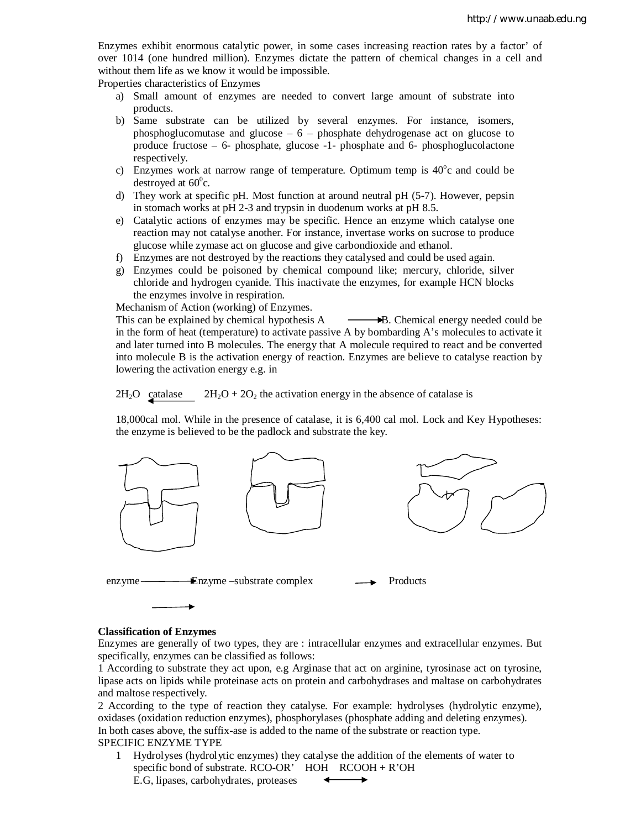Enzymes exhibit enormous catalytic power, in some cases increasing reaction rates by a factor' of over 1014 (one hundred million). Enzymes dictate the pattern of chemical changes in a cell and without them life as we know it would be impossible.

Properties characteristics of Enzymes

- a) Small amount of enzymes are needed to convert large amount of substrate into products.
- b) Same substrate can be utilized by several enzymes. For instance, isomers, phosphoglucomutase and glucose – 6 – phosphate dehydrogenase act on glucose to produce fructose – 6- phosphate, glucose -1- phosphate and 6- phosphoglucolactone respectively.
- c) Enzymes work at narrow range of temperature. Optimum temp is  $40^{\circ}$ c and could be destroyed at  $60^{\circ}$ c.
- d) They work at specific pH. Most function at around neutral pH (5-7). However, pepsin in stomach works at pH 2-3 and trypsin in duodenum works at pH 8.5.
- e) Catalytic actions of enzymes may be specific. Hence an enzyme which catalyse one reaction may not catalyse another. For instance, invertase works on sucrose to produce glucose while zymase act on glucose and give carbondioxide and ethanol.
- f) Enzymes are not destroyed by the reactions they catalysed and could be used again.
- g) Enzymes could be poisoned by chemical compound like; mercury, chloride, silver chloride and hydrogen cyanide. This inactivate the enzymes, for example HCN blocks the enzymes involve in respiration.

Mechanism of Action (working) of Enzymes.

This can be explained by chemical hypothesis  $A \longrightarrow B$ . Chemical energy needed could be in the form of heat (temperature) to activate passive A by bombarding A's molecules to activate it and later turned into B molecules. The energy that A molecule required to react and be converted into molecule B is the activation energy of reaction. Enzymes are believe to catalyse reaction by lowering the activation energy e.g. in

 $2H_2O$  catalase  $2H_2O + 2O_2$  the activation energy in the absence of catalase is

18,000cal mol. While in the presence of catalase, it is 6,400 cal mol. Lock and Key Hypotheses: the enzyme is believed to be the padlock and substrate the key.



#### **Classification of Enzymes**

Enzymes are generally of two types, they are : intracellular enzymes and extracellular enzymes. But specifically, enzymes can be classified as follows:

1 According to substrate they act upon, e.g Arginase that act on arginine, tyrosinase act on tyrosine, lipase acts on lipids while proteinase acts on protein and carbohydrases and maltase on carbohydrates and maltose respectively.

2 According to the type of reaction they catalyse. For example: hydrolyses (hydrolytic enzyme), oxidases (oxidation reduction enzymes), phosphorylases (phosphate adding and deleting enzymes). In both cases above, the suffix-ase is added to the name of the substrate or reaction type. SPECIFIC ENZYME TYPE

1 Hydrolyses (hydrolytic enzymes) they catalyse the addition of the elements of water to specific bond of substrate. RCO-OR' HOH RCOOH + R'OH E.G, lipases, carbohydrates, proteases $\leftarrow$ →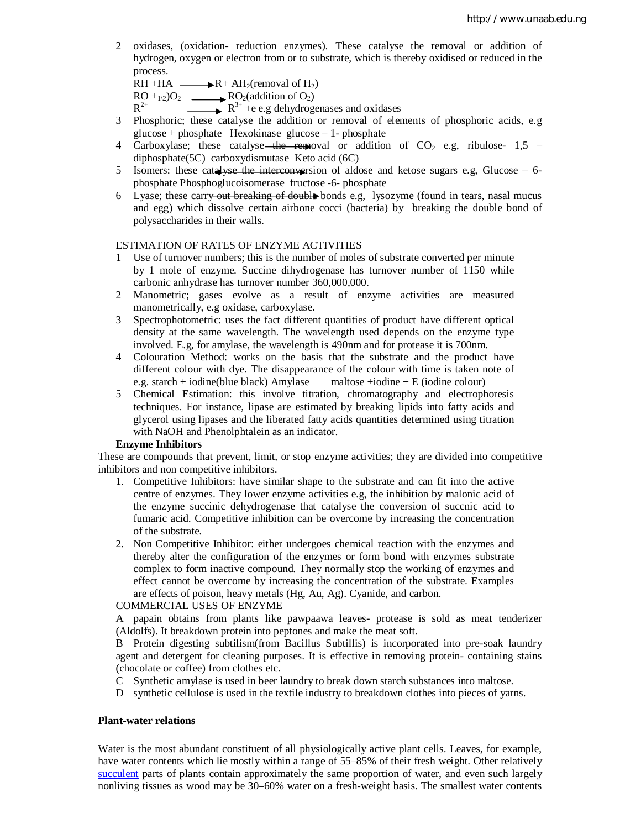2 oxidases, (oxidation- reduction enzymes). These catalyse the removal or addition of hydrogen, oxygen or electron from or to substrate, which is thereby oxidised or reduced in the process.

 $RH$  +HA  $\longrightarrow$   $R$  + AH<sub>2</sub>(removal of H<sub>2</sub>)

 $RQ +_{1\{2\}}Q_2 \longrightarrow RQ_2$ (addition of  $Q_2$ )  $R^{2+}$ 

- $\mathbb{R}^{3+}$  +e e.g dehydrogenases and oxidases
- 3 Phosphoric; these catalyse the addition or removal of elements of phosphoric acids, e.g  $glucose + phosphate$  Hexokinase glucose – 1- phosphate
- 4 Carboxylase; these catalyse—the—removal or addition of  $CO<sub>2</sub>$  e.g, ribulose- 1,5 diphosphate(5C) carboxydismutase Keto acid (6C)
- 5 Isomers: these catalyse the interconversion of aldose and ketose sugars e.g, Glucose 6phosphate Phosphoglucoisomerase fructose -6- phosphate
- 6 Lyase; these carry out breaking of double bonds e.g, lysozyme (found in tears, nasal mucus and egg) which dissolve certain airbone cocci (bacteria) by breaking the double bond of polysaccharides in their walls.

#### ESTIMATION OF RATES OF ENZYME ACTIVITIES

- 1 Use of turnover numbers; this is the number of moles of substrate converted per minute by 1 mole of enzyme. Succine dihydrogenase has turnover number of 1150 while carbonic anhydrase has turnover number 360,000,000.
- 2 Manometric; gases evolve as a result of enzyme activities are measured manometrically, e.g oxidase, carboxylase.
- 3 Spectrophotometric: uses the fact different quantities of product have different optical density at the same wavelength. The wavelength used depends on the enzyme type involved. E.g, for amylase, the wavelength is 490nm and for protease it is 700nm.
- 4 Colouration Method: works on the basis that the substrate and the product have different colour with dye. The disappearance of the colour with time is taken note of e.g. starch + iodine(blue black) Amylase maltose +iodine + E (iodine colour)
- 5 Chemical Estimation: this involve titration, chromatography and electrophoresis techniques. For instance, lipase are estimated by breaking lipids into fatty acids and glycerol using lipases and the liberated fatty acids quantities determined using titration with NaOH and Phenolphtalein as an indicator.

#### **Enzyme Inhibitors**

These are compounds that prevent, limit, or stop enzyme activities; they are divided into competitive inhibitors and non competitive inhibitors.

- 1. Competitive Inhibitors: have similar shape to the substrate and can fit into the active centre of enzymes. They lower enzyme activities e.g, the inhibition by malonic acid of the enzyme succinic dehydrogenase that catalyse the conversion of succnic acid to fumaric acid. Competitive inhibition can be overcome by increasing the concentration of the substrate.
- 2. Non Competitive Inhibitor: either undergoes chemical reaction with the enzymes and thereby alter the configuration of the enzymes or form bond with enzymes substrate complex to form inactive compound. They normally stop the working of enzymes and effect cannot be overcome by increasing the concentration of the substrate. Examples are effects of poison, heavy metals (Hg, Au, Ag). Cyanide, and carbon.

COMMERCIAL USES OF ENZYME

A papain obtains from plants like pawpaawa leaves- protease is sold as meat tenderizer (Aldolfs). It breakdown protein into peptones and make the meat soft.

B Protein digesting subtilism(from Bacillus Subtillis) is incorporated into pre-soak laundry agent and detergent for cleaning purposes. It is effective in removing protein- containing stains (chocolate or coffee) from clothes etc.

- C Synthetic amylase is used in beer laundry to break down starch substances into maltose.
- D synthetic cellulose is used in the textile industry to breakdown clothes into pieces of yarns.

#### **Plant-water relations**

Water is the most abundant constituent of all physiologically active plant cells. Leaves, for example, have water contents which lie mostly within a range of 55–85% of their fresh weight. Other relatively succulent parts of plants contain approximately the same proportion of water, and even such largely nonliving tissues as wood may be 30–60% water on a fresh-weight basis. The smallest water contents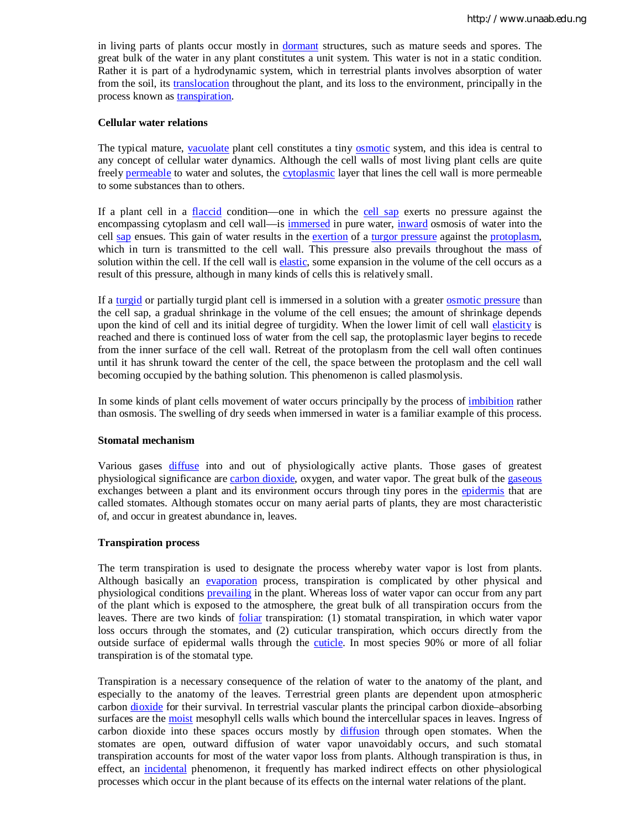in living parts of plants occur mostly in dormant structures, such as mature seeds and spores. The great bulk of the water in any plant constitutes a unit system. This water is not in a static condition. Rather it is part of a hydrodynamic system, which in terrestrial plants involves absorption of water from the soil, its translocation throughout the plant, and its loss to the environment, principally in the process known as transpiration.

#### **Cellular water relations**

The typical mature, vacuolate plant cell constitutes a tiny osmotic system, and this idea is central to any concept of cellular water dynamics. Although the cell walls of most living plant cells are quite freely permeable to water and solutes, the cytoplasmic layer that lines the cell wall is more permeable to some substances than to others.

If a plant cell in a flaccid condition—one in which the cell sap exerts no pressure against the encompassing cytoplasm and cell wall—is immersed in pure water, inward osmosis of water into the cell sap ensues. This gain of water results in the exertion of a turgor pressure against the protoplasm, which in turn is transmitted to the cell wall. This pressure also prevails throughout the mass of solution within the cell. If the cell wall is elastic, some expansion in the volume of the cell occurs as a result of this pressure, although in many kinds of cells this is relatively small.

If a turgid or partially turgid plant cell is immersed in a solution with a greater osmotic pressure than the cell sap, a gradual shrinkage in the volume of the cell ensues; the amount of shrinkage depends upon the kind of cell and its initial degree of turgidity. When the lower limit of cell wall elasticity is reached and there is continued loss of water from the cell sap, the protoplasmic layer begins to recede from the inner surface of the cell wall. Retreat of the protoplasm from the cell wall often continues until it has shrunk toward the center of the cell, the space between the protoplasm and the cell wall becoming occupied by the bathing solution. This phenomenon is called plasmolysis.

In some kinds of plant cells movement of water occurs principally by the process of imbibition rather than osmosis. The swelling of dry seeds when immersed in water is a familiar example of this process.

#### **Stomatal mechanism**

Various gases diffuse into and out of physiologically active plants. Those gases of greatest physiological significance are carbon dioxide, oxygen, and water vapor. The great bulk of the gaseous exchanges between a plant and its environment occurs through tiny pores in the epidermis that are called stomates. Although stomates occur on many aerial parts of plants, they are most characteristic of, and occur in greatest abundance in, leaves.

#### **Transpiration process**

The term transpiration is used to designate the process whereby water vapor is lost from plants. Although basically an evaporation process, transpiration is complicated by other physical and physiological conditions prevailing in the plant. Whereas loss of water vapor can occur from any part of the plant which is exposed to the atmosphere, the great bulk of all transpiration occurs from the leaves. There are two kinds of foliar transpiration: (1) stomatal transpiration, in which water vapor loss occurs through the stomates, and (2) cuticular transpiration, which occurs directly from the outside surface of epidermal walls through the cuticle. In most species 90% or more of all foliar transpiration is of the stomatal type.

Transpiration is a necessary consequence of the relation of water to the anatomy of the plant, and especially to the anatomy of the leaves. Terrestrial green plants are dependent upon atmospheric carbon dioxide for their survival. In terrestrial vascular plants the principal carbon dioxide–absorbing surfaces are the moist mesophyll cells walls which bound the intercellular spaces in leaves. Ingress of carbon dioxide into these spaces occurs mostly by diffusion through open stomates. When the stomates are open, outward diffusion of water vapor unavoidably occurs, and such stomatal transpiration accounts for most of the water vapor loss from plants. Although transpiration is thus, in effect, an incidental phenomenon, it frequently has marked indirect effects on other physiological processes which occur in the plant because of its effects on the internal water relations of the plant.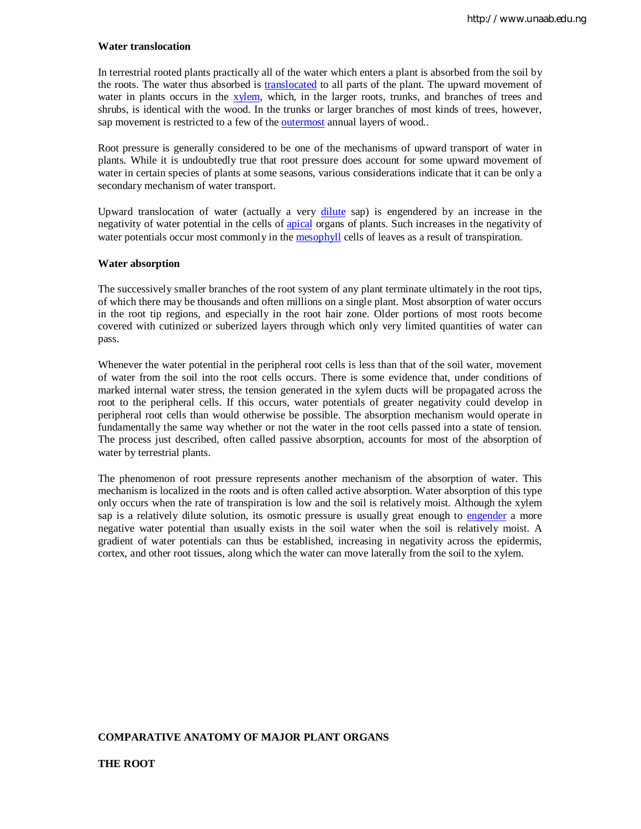#### **Water translocation**

In terrestrial rooted plants practically all of the water which enters a plant is absorbed from the soil by the roots. The water thus absorbed is translocated to all parts of the plant. The upward movement of water in plants occurs in the xylem, which, in the larger roots, trunks, and branches of trees and shrubs, is identical with the wood. In the trunks or larger branches of most kinds of trees, however, sap movement is restricted to a few of the outermost annual layers of wood..

Root pressure is generally considered to be one of the mechanisms of upward transport of water in plants. While it is undoubtedly true that root pressure does account for some upward movement of water in certain species of plants at some seasons, various considerations indicate that it can be only a secondary mechanism of water transport.

Upward translocation of water (actually a very dilute sap) is engendered by an increase in the negativity of water potential in the cells of apical organs of plants. Such increases in the negativity of water potentials occur most commonly in the **mesophyll** cells of leaves as a result of transpiration.

#### **Water absorption**

The successively smaller branches of the root system of any plant terminate ultimately in the root tips, of which there may be thousands and often millions on a single plant. Most absorption of water occurs in the root tip regions, and especially in the root hair zone. Older portions of most roots become covered with cutinized or suberized layers through which only very limited quantities of water can pass.

Whenever the water potential in the peripheral root cells is less than that of the soil water, movement of water from the soil into the root cells occurs. There is some evidence that, under conditions of marked internal water stress, the tension generated in the xylem ducts will be propagated across the root to the peripheral cells. If this occurs, water potentials of greater negativity could develop in peripheral root cells than would otherwise be possible. The absorption mechanism would operate in fundamentally the same way whether or not the water in the root cells passed into a state of tension. The process just described, often called passive absorption, accounts for most of the absorption of water by terrestrial plants.

The phenomenon of root pressure represents another mechanism of the absorption of water. This mechanism is localized in the roots and is often called active absorption. Water absorption of this type only occurs when the rate of transpiration is low and the soil is relatively moist. Although the xylem sap is a relatively dilute solution, its osmotic pressure is usually great enough to engender a more negative water potential than usually exists in the soil water when the soil is relatively moist. A gradient of water potentials can thus be established, increasing in negativity across the epidermis, cortex, and other root tissues, along which the water can move laterally from the soil to the xylem.

#### **COMPARATIVE ANATOMY OF MAJOR PLANT ORGANS**

#### **THE ROOT**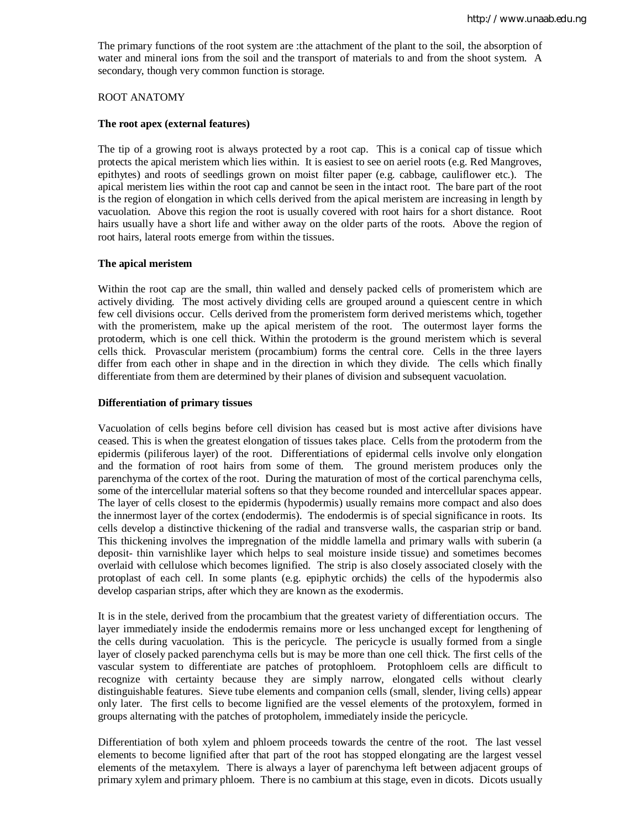The primary functions of the root system are :the attachment of the plant to the soil, the absorption of water and mineral ions from the soil and the transport of materials to and from the shoot system. A secondary, though very common function is storage.

#### ROOT ANATOMY

#### **The root apex (external features)**

The tip of a growing root is always protected by a root cap. This is a conical cap of tissue which protects the apical meristem which lies within. It is easiest to see on aeriel roots (e.g. Red Mangroves, epithytes) and roots of seedlings grown on moist filter paper (e.g. cabbage, cauliflower etc.). The apical meristem lies within the root cap and cannot be seen in the intact root. The bare part of the root is the region of elongation in which cells derived from the apical meristem are increasing in length by vacuolation. Above this region the root is usually covered with root hairs for a short distance. Root hairs usually have a short life and wither away on the older parts of the roots. Above the region of root hairs, lateral roots emerge from within the tissues.

#### **The apical meristem**

Within the root cap are the small, thin walled and densely packed cells of promeristem which are actively dividing. The most actively dividing cells are grouped around a quiescent centre in which few cell divisions occur. Cells derived from the promeristem form derived meristems which, together with the promeristem, make up the apical meristem of the root. The outermost layer forms the protoderm, which is one cell thick. Within the protoderm is the ground meristem which is several cells thick. Provascular meristem (procambium) forms the central core. Cells in the three layers differ from each other in shape and in the direction in which they divide. The cells which finally differentiate from them are determined by their planes of division and subsequent vacuolation.

#### **Differentiation of primary tissues**

Vacuolation of cells begins before cell division has ceased but is most active after divisions have ceased. This is when the greatest elongation of tissues takes place. Cells from the protoderm from the epidermis (piliferous layer) of the root. Differentiations of epidermal cells involve only elongation and the formation of root hairs from some of them. The ground meristem produces only the parenchyma of the cortex of the root. During the maturation of most of the cortical parenchyma cells, some of the intercellular material softens so that they become rounded and intercellular spaces appear. The layer of cells closest to the epidermis (hypodermis) usually remains more compact and also does the innermost layer of the cortex (endodermis). The endodermis is of special significance in roots. Its cells develop a distinctive thickening of the radial and transverse walls, the casparian strip or band. This thickening involves the impregnation of the middle lamella and primary walls with suberin (a deposit- thin varnishlike layer which helps to seal moisture inside tissue) and sometimes becomes overlaid with cellulose which becomes lignified. The strip is also closely associated closely with the protoplast of each cell. In some plants (e.g. epiphytic orchids) the cells of the hypodermis also develop casparian strips, after which they are known as the exodermis.

It is in the stele, derived from the procambium that the greatest variety of differentiation occurs. The layer immediately inside the endodermis remains more or less unchanged except for lengthening of the cells during vacuolation. This is the pericycle. The pericycle is usually formed from a single layer of closely packed parenchyma cells but is may be more than one cell thick. The first cells of the vascular system to differentiate are patches of protophloem. Protophloem cells are difficult to recognize with certainty because they are simply narrow, elongated cells without clearly distinguishable features. Sieve tube elements and companion cells (small, slender, living cells) appear only later. The first cells to become lignified are the vessel elements of the protoxylem, formed in groups alternating with the patches of protopholem, immediately inside the pericycle.

Differentiation of both xylem and phloem proceeds towards the centre of the root. The last vessel elements to become lignified after that part of the root has stopped elongating are the largest vessel elements of the metaxylem. There is always a layer of parenchyma left between adjacent groups of primary xylem and primary phloem. There is no cambium at this stage, even in dicots. Dicots usually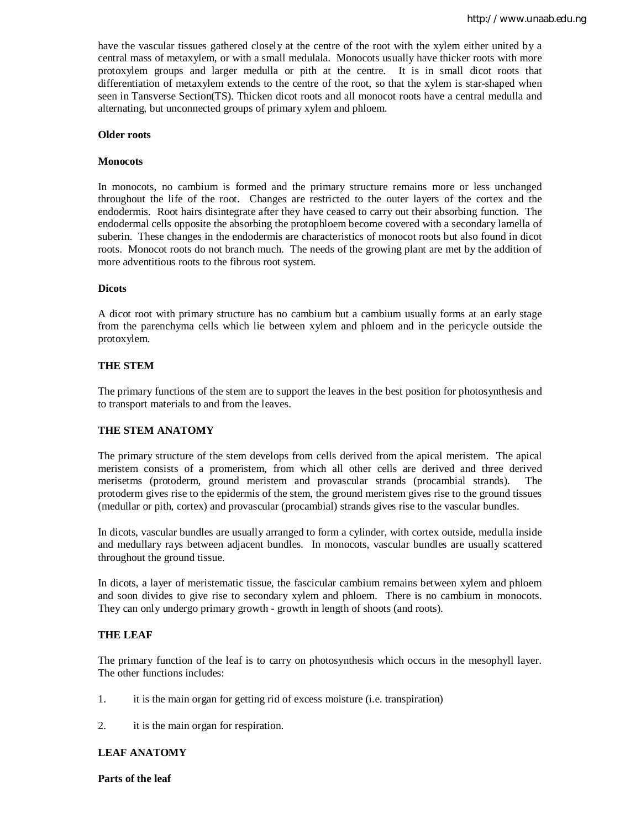have the vascular tissues gathered closely at the centre of the root with the xylem either united by a central mass of metaxylem, or with a small medulala. Monocots usually have thicker roots with more protoxylem groups and larger medulla or pith at the centre. It is in small dicot roots that differentiation of metaxylem extends to the centre of the root, so that the xylem is star-shaped when seen in Tansverse Section(TS). Thicken dicot roots and all monocot roots have a central medulla and alternating, but unconnected groups of primary xylem and phloem.

#### **Older roots**

#### **Monocots**

In monocots, no cambium is formed and the primary structure remains more or less unchanged throughout the life of the root. Changes are restricted to the outer layers of the cortex and the endodermis. Root hairs disintegrate after they have ceased to carry out their absorbing function. The endodermal cells opposite the absorbing the protophloem become covered with a secondary lamella of suberin. These changes in the endodermis are characteristics of monocot roots but also found in dicot roots. Monocot roots do not branch much. The needs of the growing plant are met by the addition of more adventitious roots to the fibrous root system.

#### **Dicots**

A dicot root with primary structure has no cambium but a cambium usually forms at an early stage from the parenchyma cells which lie between xylem and phloem and in the pericycle outside the protoxylem.

#### **THE STEM**

The primary functions of the stem are to support the leaves in the best position for photosynthesis and to transport materials to and from the leaves.

#### **THE STEM ANATOMY**

The primary structure of the stem develops from cells derived from the apical meristem. The apical meristem consists of a promeristem, from which all other cells are derived and three derived merisetms (protoderm, ground meristem and provascular strands (procambial strands). The protoderm gives rise to the epidermis of the stem, the ground meristem gives rise to the ground tissues (medullar or pith, cortex) and provascular (procambial) strands gives rise to the vascular bundles.

In dicots, vascular bundles are usually arranged to form a cylinder, with cortex outside, medulla inside and medullary rays between adjacent bundles. In monocots, vascular bundles are usually scattered throughout the ground tissue.

In dicots, a layer of meristematic tissue, the fascicular cambium remains between xylem and phloem and soon divides to give rise to secondary xylem and phloem. There is no cambium in monocots. They can only undergo primary growth - growth in length of shoots (and roots).

#### **THE LEAF**

The primary function of the leaf is to carry on photosynthesis which occurs in the mesophyll layer. The other functions includes:

- 1. it is the main organ for getting rid of excess moisture (i.e. transpiration)
- 2. it is the main organ for respiration.

#### **LEAF ANATOMY**

**Parts of the leaf**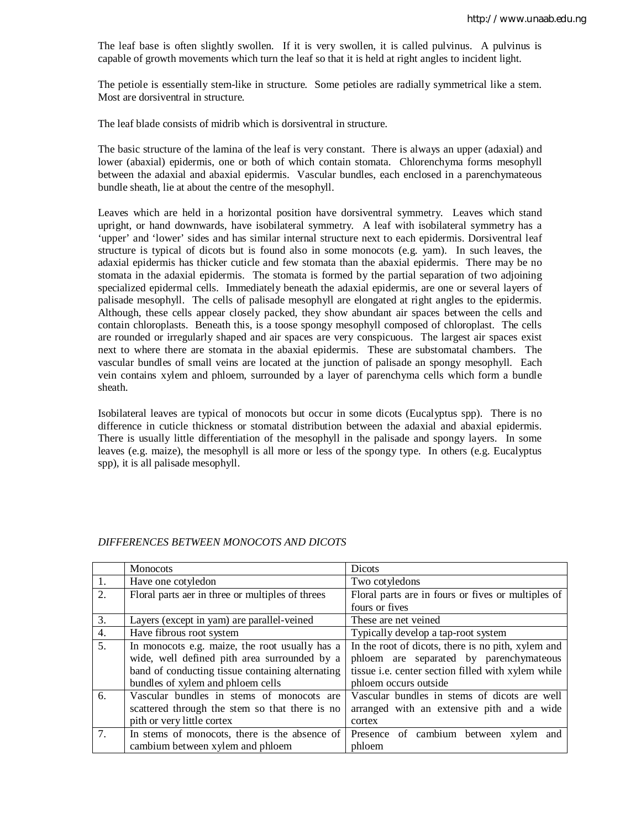The leaf base is often slightly swollen. If it is very swollen, it is called pulvinus. A pulvinus is capable of growth movements which turn the leaf so that it is held at right angles to incident light.

The petiole is essentially stem-like in structure. Some petioles are radially symmetrical like a stem. Most are dorsiventral in structure.

The leaf blade consists of midrib which is dorsiventral in structure.

The basic structure of the lamina of the leaf is very constant. There is always an upper (adaxial) and lower (abaxial) epidermis, one or both of which contain stomata. Chlorenchyma forms mesophyll between the adaxial and abaxial epidermis. Vascular bundles, each enclosed in a parenchymateous bundle sheath, lie at about the centre of the mesophyll.

Leaves which are held in a horizontal position have dorsiventral symmetry. Leaves which stand upright, or hand downwards, have isobilateral symmetry. A leaf with isobilateral symmetry has a 'upper' and 'lower' sides and has similar internal structure next to each epidermis. Dorsiventral leaf structure is typical of dicots but is found also in some monocots (e.g. yam). In such leaves, the adaxial epidermis has thicker cuticle and few stomata than the abaxial epidermis. There may be no stomata in the adaxial epidermis. The stomata is formed by the partial separation of two adjoining specialized epidermal cells. Immediately beneath the adaxial epidermis, are one or several layers of palisade mesophyll. The cells of palisade mesophyll are elongated at right angles to the epidermis. Although, these cells appear closely packed, they show abundant air spaces between the cells and contain chloroplasts. Beneath this, is a toose spongy mesophyll composed of chloroplast. The cells are rounded or irregularly shaped and air spaces are very conspicuous. The largest air spaces exist next to where there are stomata in the abaxial epidermis. These are substomatal chambers. The vascular bundles of small veins are located at the junction of palisade an spongy mesophyll. Each vein contains xylem and phloem, surrounded by a layer of parenchyma cells which form a bundle sheath.

Isobilateral leaves are typical of monocots but occur in some dicots (Eucalyptus spp). There is no difference in cuticle thickness or stomatal distribution between the adaxial and abaxial epidermis. There is usually little differentiation of the mesophyll in the palisade and spongy layers. In some leaves (e.g. maize), the mesophyll is all more or less of the spongy type. In others (e.g. Eucalyptus spp), it is all palisade mesophyll.

|    | <b>Monocots</b>                                  | <b>Dicots</b>                                             |
|----|--------------------------------------------------|-----------------------------------------------------------|
| 1. | Have one cotyledon                               | Two cotyledons                                            |
| 2. | Floral parts aer in three or multiples of threes | Floral parts are in fours or fives or multiples of        |
|    |                                                  | fours or fives                                            |
| 3. | Layers (except in yam) are parallel-veined       | These are net veined                                      |
| 4. | Have fibrous root system                         | Typically develop a tap-root system                       |
| 5. | In monocots e.g. maize, the root usually has a   | In the root of dicots, there is no pith, xylem and        |
|    | wide, well defined pith area surrounded by a     | phloem are separated by parenchymateous                   |
|    | band of conducting tissue containing alternating | tissue <i>i.e.</i> center section filled with xylem while |
|    | bundles of xylem and phloem cells                | phloem occurs outside                                     |
| 6. | Vascular bundles in stems of monocots are        | Vascular bundles in stems of dicots are well              |
|    | scattered through the stem so that there is no   | arranged with an extensive pith and a wide                |
|    | pith or very little cortex                       | cortex                                                    |
| 7. | In stems of monocots, there is the absence of    | Presence of cambium between xylem and                     |
|    | cambium between xylem and phloem                 | phloem                                                    |

#### *DIFFERENCES BETWEEN MONOCOTS AND DICOTS*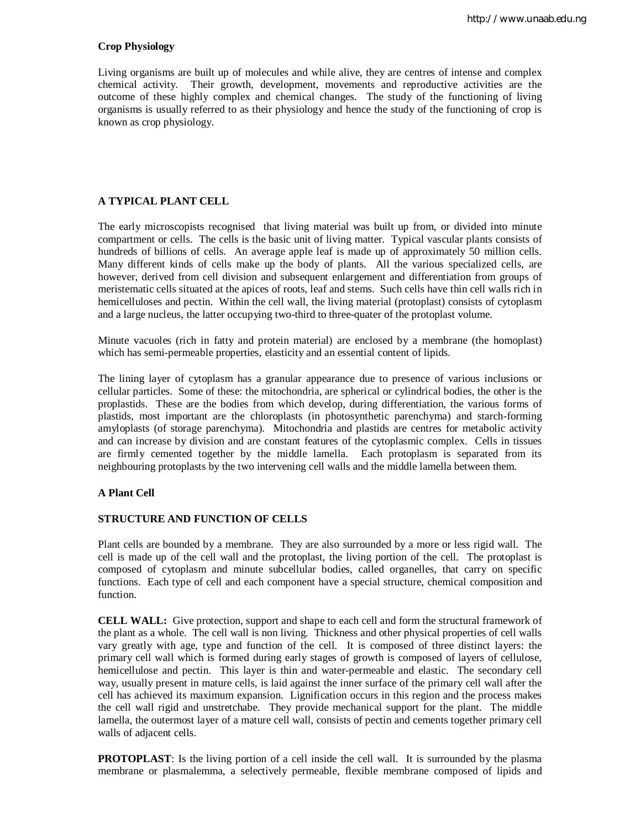#### **Crop Physiology**

Living organisms are built up of molecules and while alive, they are centres of intense and complex chemical activity. Their growth, development, movements and reproductive activities are the outcome of these highly complex and chemical changes. The study of the functioning of living organisms is usually referred to as their physiology and hence the study of the functioning of crop is known as crop physiology.

#### **A TYPICAL PLANT CELL**

The early microscopists recognised that living material was built up from, or divided into minute compartment or cells. The cells is the basic unit of living matter. Typical vascular plants consists of hundreds of billions of cells. An average apple leaf is made up of approximately 50 million cells. Many different kinds of cells make up the body of plants. All the various specialized cells, are however, derived from cell division and subsequent enlargement and differentiation from groups of meristematic cells situated at the apices of roots, leaf and stems. Such cells have thin cell walls rich in hemicelluloses and pectin. Within the cell wall, the living material (protoplast) consists of cytoplasm and a large nucleus, the latter occupying two-third to three-quater of the protoplast volume.

Minute vacuoles (rich in fatty and protein material) are enclosed by a membrane (the homoplast) which has semi-permeable properties, elasticity and an essential content of lipids.

The lining layer of cytoplasm has a granular appearance due to presence of various inclusions or cellular particles. Some of these: the mitochondria, are spherical or cylindrical bodies, the other is the proplastids. These are the bodies from which develop, during differentiation, the various forms of plastids, most important are the chloroplasts (in photosynthetic parenchyma) and starch-forming amyloplasts (of storage parenchyma). Mitochondria and plastids are centres for metabolic activity and can increase by division and are constant features of the cytoplasmic complex. Cells in tissues are firmly cemented together by the middle lamella. Each protoplasm is separated from its neighbouring protoplasts by the two intervening cell walls and the middle lamella between them.

#### **A Plant Cell**

#### **STRUCTURE AND FUNCTION OF CELLS**

Plant cells are bounded by a membrane. They are also surrounded by a more or less rigid wall. The cell is made up of the cell wall and the protoplast, the living portion of the cell. The protoplast is composed of cytoplasm and minute subcellular bodies, called organelles, that carry on specific functions. Each type of cell and each component have a special structure, chemical composition and function.

**CELL WALL:** Give protection, support and shape to each cell and form the structural framework of the plant as a whole. The cell wall is non living. Thickness and other physical properties of cell walls vary greatly with age, type and function of the cell. It is composed of three distinct layers: the primary cell wall which is formed during early stages of growth is composed of layers of cellulose, hemicellulose and pectin. This layer is thin and water-permeable and elastic. The secondary cell way, usually present in mature cells, is laid against the inner surface of the primary cell wall after the cell has achieved its maximum expansion. Lignification occurs in this region and the process makes the cell wall rigid and unstretchabe. They provide mechanical support for the plant. The middle lamella, the outermost layer of a mature cell wall, consists of pectin and cements together primary cell walls of adjacent cells.

**PROTOPLAST**: Is the living portion of a cell inside the cell wall. It is surrounded by the plasma membrane or plasmalemma, a selectively permeable, flexible membrane composed of lipids and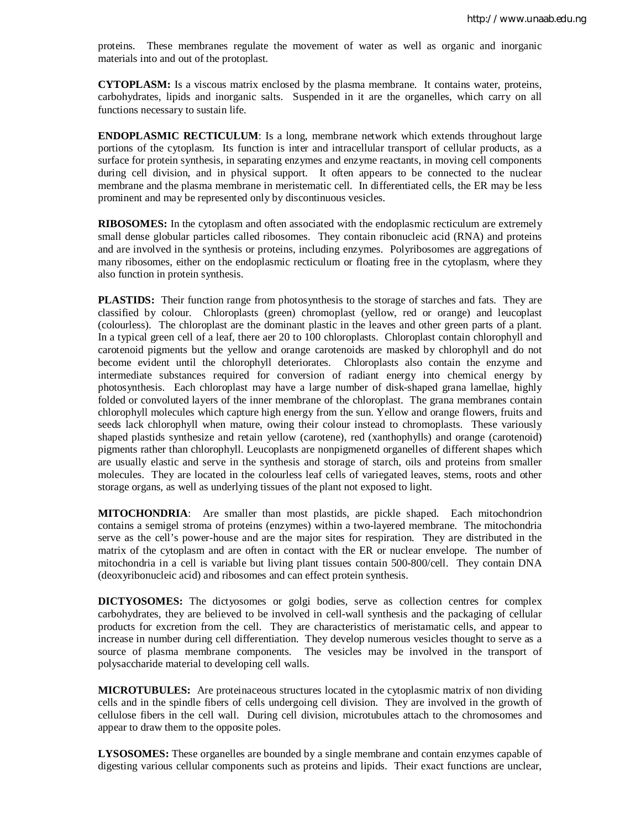proteins. These membranes regulate the movement of water as well as organic and inorganic materials into and out of the protoplast.

**CYTOPLASM:** Is a viscous matrix enclosed by the plasma membrane. It contains water, proteins, carbohydrates, lipids and inorganic salts. Suspended in it are the organelles, which carry on all functions necessary to sustain life.

**ENDOPLASMIC RECTICULUM**: Is a long, membrane network which extends throughout large portions of the cytoplasm. Its function is inter and intracellular transport of cellular products, as a surface for protein synthesis, in separating enzymes and enzyme reactants, in moving cell components during cell division, and in physical support. It often appears to be connected to the nuclear membrane and the plasma membrane in meristematic cell. In differentiated cells, the ER may be less prominent and may be represented only by discontinuous vesicles.

**RIBOSOMES:** In the cytoplasm and often associated with the endoplasmic recticulum are extremely small dense globular particles called ribosomes. They contain ribonucleic acid (RNA) and proteins and are involved in the synthesis or proteins, including enzymes. Polyribosomes are aggregations of many ribosomes, either on the endoplasmic recticulum or floating free in the cytoplasm, where they also function in protein synthesis.

**PLASTIDS:** Their function range from photosynthesis to the storage of starches and fats. They are classified by colour. Chloroplasts (green) chromoplast (yellow, red or orange) and leucoplast (colourless). The chloroplast are the dominant plastic in the leaves and other green parts of a plant. In a typical green cell of a leaf, there aer 20 to 100 chloroplasts. Chloroplast contain chlorophyll and carotenoid pigments but the yellow and orange carotenoids are masked by chlorophyll and do not become evident until the chlorophyll deteriorates. Chloroplasts also contain the enzyme and intermediate substances required for conversion of radiant energy into chemical energy by photosynthesis. Each chloroplast may have a large number of disk-shaped grana lamellae, highly folded or convoluted layers of the inner membrane of the chloroplast. The grana membranes contain chlorophyll molecules which capture high energy from the sun. Yellow and orange flowers, fruits and seeds lack chlorophyll when mature, owing their colour instead to chromoplasts. These variously shaped plastids synthesize and retain yellow (carotene), red (xanthophylls) and orange (carotenoid) pigments rather than chlorophyll. Leucoplasts are nonpigmenetd organelles of different shapes which are usually elastic and serve in the synthesis and storage of starch, oils and proteins from smaller molecules. They are located in the colourless leaf cells of variegated leaves, stems, roots and other storage organs, as well as underlying tissues of the plant not exposed to light.

**MITOCHONDRIA**: Are smaller than most plastids, are pickle shaped. Each mitochondrion contains a semigel stroma of proteins (enzymes) within a two-layered membrane. The mitochondria serve as the cell's power-house and are the major sites for respiration. They are distributed in the matrix of the cytoplasm and are often in contact with the ER or nuclear envelope. The number of mitochondria in a cell is variable but living plant tissues contain 500-800/cell. They contain DNA (deoxyribonucleic acid) and ribosomes and can effect protein synthesis.

**DICTYOSOMES:** The dictyosomes or golgi bodies, serve as collection centres for complex carbohydrates, they are believed to be involved in cell-wall synthesis and the packaging of cellular products for excretion from the cell. They are characteristics of meristamatic cells, and appear to increase in number during cell differentiation. They develop numerous vesicles thought to serve as a source of plasma membrane components. The vesicles may be involved in the transport of polysaccharide material to developing cell walls.

**MICROTUBULES:** Are proteinaceous structures located in the cytoplasmic matrix of non dividing cells and in the spindle fibers of cells undergoing cell division. They are involved in the growth of cellulose fibers in the cell wall. During cell division, microtubules attach to the chromosomes and appear to draw them to the opposite poles.

**LYSOSOMES:** These organelles are bounded by a single membrane and contain enzymes capable of digesting various cellular components such as proteins and lipids. Their exact functions are unclear,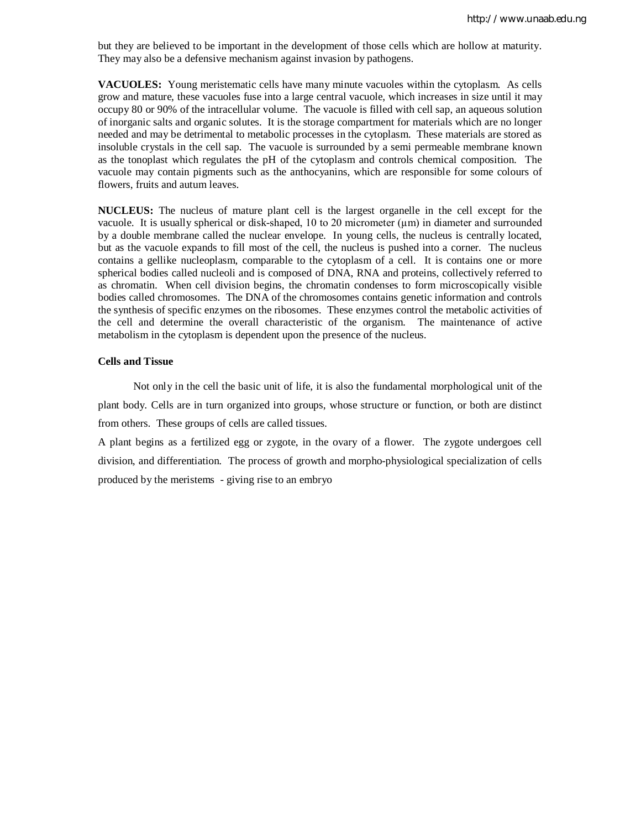but they are believed to be important in the development of those cells which are hollow at maturity. They may also be a defensive mechanism against invasion by pathogens.

**VACUOLES:** Young meristematic cells have many minute vacuoles within the cytoplasm. As cells grow and mature, these vacuoles fuse into a large central vacuole, which increases in size until it may occupy 80 or 90% of the intracellular volume. The vacuole is filled with cell sap, an aqueous solution of inorganic salts and organic solutes. It is the storage compartment for materials which are no longer needed and may be detrimental to metabolic processes in the cytoplasm. These materials are stored as insoluble crystals in the cell sap. The vacuole is surrounded by a semi permeable membrane known as the tonoplast which regulates the pH of the cytoplasm and controls chemical composition. The vacuole may contain pigments such as the anthocyanins, which are responsible for some colours of flowers, fruits and autum leaves.

**NUCLEUS:** The nucleus of mature plant cell is the largest organelle in the cell except for the vacuole. It is usually spherical or disk-shaped, 10 to 20 micrometer  $(\mu m)$  in diameter and surrounded by a double membrane called the nuclear envelope. In young cells, the nucleus is centrally located, but as the vacuole expands to fill most of the cell, the nucleus is pushed into a corner. The nucleus contains a gellike nucleoplasm, comparable to the cytoplasm of a cell. It is contains one or more spherical bodies called nucleoli and is composed of DNA, RNA and proteins, collectively referred to as chromatin. When cell division begins, the chromatin condenses to form microscopically visible bodies called chromosomes. The DNA of the chromosomes contains genetic information and controls the synthesis of specific enzymes on the ribosomes. These enzymes control the metabolic activities of the cell and determine the overall characteristic of the organism. The maintenance of active metabolism in the cytoplasm is dependent upon the presence of the nucleus.

#### **Cells and Tissue**

Not only in the cell the basic unit of life, it is also the fundamental morphological unit of the plant body. Cells are in turn organized into groups, whose structure or function, or both are distinct from others. These groups of cells are called tissues.

A plant begins as a fertilized egg or zygote, in the ovary of a flower. The zygote undergoes cell division, and differentiation. The process of growth and morpho-physiological specialization of cells produced by the meristems - giving rise to an embryo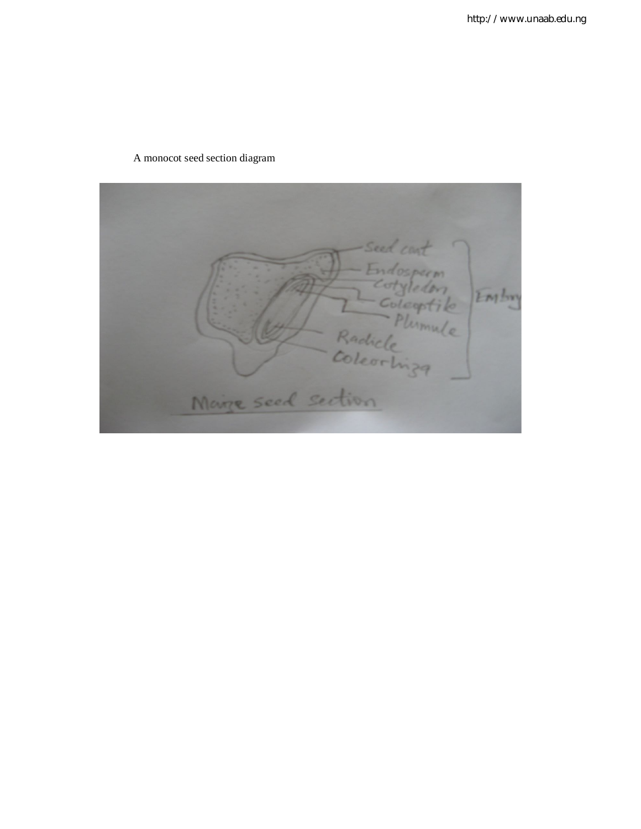Seed con Endos cem  $\epsilon_{\text{rf}}$ Embry don Colege Plumule Radicle<br>Coleorling tion Marge seed Col

### A monocot seed section diagram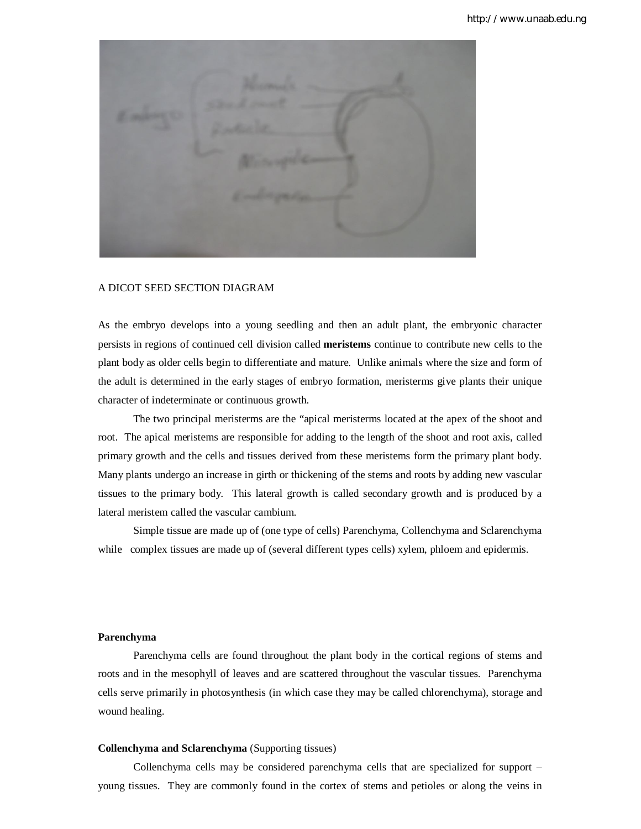#### A DICOT SEED SECTION DIAGRAM

As the embryo develops into a young seedling and then an adult plant, the embryonic character persists in regions of continued cell division called **meristems** continue to contribute new cells to the plant body as older cells begin to differentiate and mature. Unlike animals where the size and form of the adult is determined in the early stages of embryo formation, meristerms give plants their unique character of indeterminate or continuous growth.

The two principal meristerms are the "apical meristerms located at the apex of the shoot and root. The apical meristems are responsible for adding to the length of the shoot and root axis, called primary growth and the cells and tissues derived from these meristems form the primary plant body. Many plants undergo an increase in girth or thickening of the stems and roots by adding new vascular tissues to the primary body. This lateral growth is called secondary growth and is produced by a lateral meristem called the vascular cambium.

Simple tissue are made up of (one type of cells) Parenchyma, Collenchyma and Sclarenchyma while complex tissues are made up of (several different types cells) xylem, phloem and epidermis.

#### **Parenchyma**

Parenchyma cells are found throughout the plant body in the cortical regions of stems and roots and in the mesophyll of leaves and are scattered throughout the vascular tissues. Parenchyma cells serve primarily in photosynthesis (in which case they may be called chlorenchyma), storage and wound healing.

#### **Collenchyma and Sclarenchyma** (Supporting tissues)

Collenchyma cells may be considered parenchyma cells that are specialized for support – young tissues. They are commonly found in the cortex of stems and petioles or along the veins in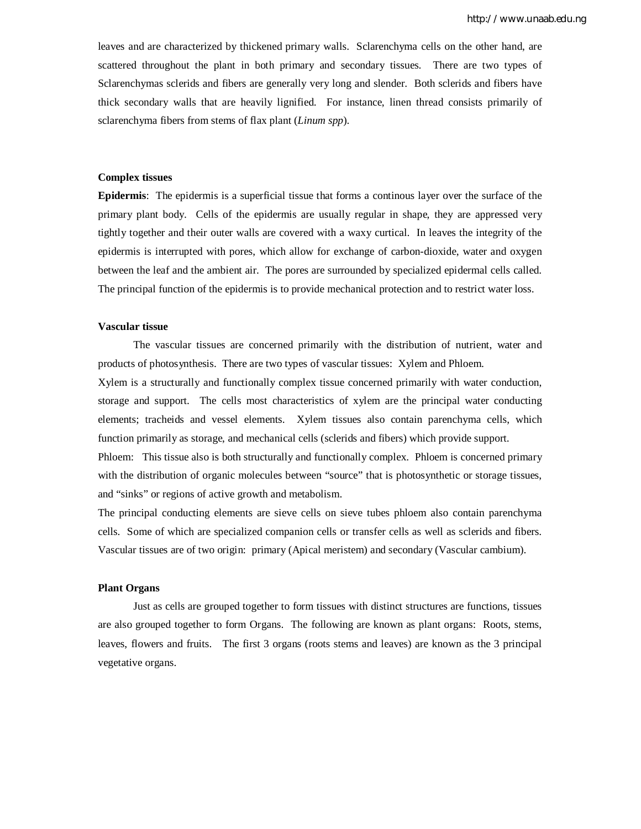leaves and are characterized by thickened primary walls. Sclarenchyma cells on the other hand, are scattered throughout the plant in both primary and secondary tissues. There are two types of Sclarenchymas sclerids and fibers are generally very long and slender. Both sclerids and fibers have thick secondary walls that are heavily lignified. For instance, linen thread consists primarily of sclarenchyma fibers from stems of flax plant (*Linum spp*).

#### **Complex tissues**

**Epidermis**: The epidermis is a superficial tissue that forms a continous layer over the surface of the primary plant body. Cells of the epidermis are usually regular in shape, they are appressed very tightly together and their outer walls are covered with a waxy curtical. In leaves the integrity of the epidermis is interrupted with pores, which allow for exchange of carbon-dioxide, water and oxygen between the leaf and the ambient air. The pores are surrounded by specialized epidermal cells called. The principal function of the epidermis is to provide mechanical protection and to restrict water loss.

#### **Vascular tissue**

The vascular tissues are concerned primarily with the distribution of nutrient, water and products of photosynthesis. There are two types of vascular tissues: Xylem and Phloem. Xylem is a structurally and functionally complex tissue concerned primarily with water conduction,

storage and support. The cells most characteristics of xylem are the principal water conducting elements; tracheids and vessel elements. Xylem tissues also contain parenchyma cells, which function primarily as storage, and mechanical cells (sclerids and fibers) which provide support.

Phloem: This tissue also is both structurally and functionally complex. Phloem is concerned primary with the distribution of organic molecules between "source" that is photosynthetic or storage tissues, and "sinks" or regions of active growth and metabolism.

The principal conducting elements are sieve cells on sieve tubes phloem also contain parenchyma cells. Some of which are specialized companion cells or transfer cells as well as sclerids and fibers. Vascular tissues are of two origin: primary (Apical meristem) and secondary (Vascular cambium).

#### **Plant Organs**

Just as cells are grouped together to form tissues with distinct structures are functions, tissues are also grouped together to form Organs. The following are known as plant organs: Roots, stems, leaves, flowers and fruits. The first 3 organs (roots stems and leaves) are known as the 3 principal vegetative organs.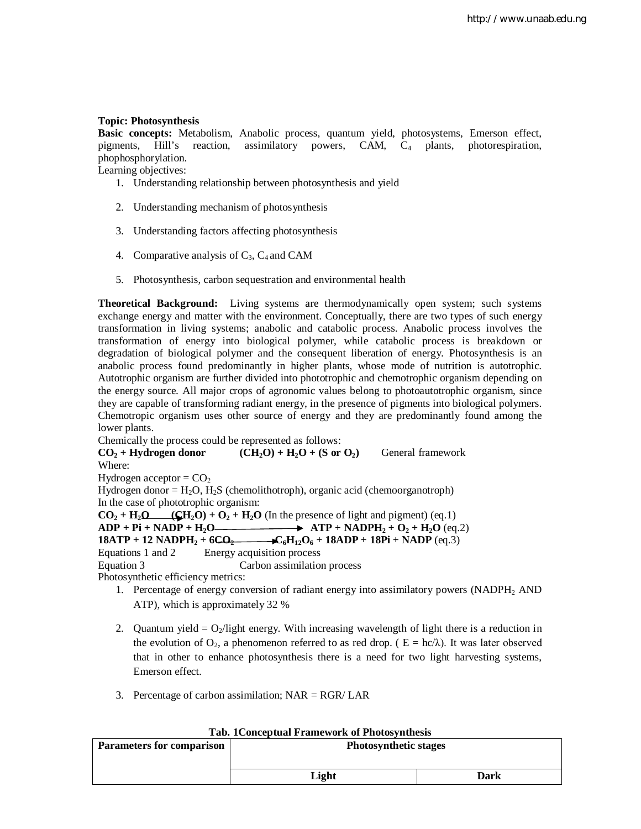#### **Topic: Photosynthesis**

**Basic concepts:** Metabolism, Anabolic process, quantum yield, photosystems, Emerson effect, pigments, Hill's reaction, assimilatory powers, CAM, C<sup>4</sup> plants, photorespiration, phophosphorylation.

Learning objectives:

- 1. Understanding relationship between photosynthesis and yield
- 2. Understanding mechanism of photosynthesis
- 3. Understanding factors affecting photosynthesis
- 4. Comparative analysis of  $C_3$ ,  $C_4$  and CAM
- 5. Photosynthesis, carbon sequestration and environmental health

**Theoretical Background:** Living systems are thermodynamically open system; such systems exchange energy and matter with the environment. Conceptually, there are two types of such energy transformation in living systems; anabolic and catabolic process. Anabolic process involves the transformation of energy into biological polymer, while catabolic process is breakdown or degradation of biological polymer and the consequent liberation of energy. Photosynthesis is an anabolic process found predominantly in higher plants, whose mode of nutrition is autotrophic. Autotrophic organism are further divided into phototrophic and chemotrophic organism depending on the energy source. All major crops of agronomic values belong to photoautotrophic organism, since they are capable of transforming radiant energy, in the presence of pigments into biological polymers. Chemotropic organism uses other source of energy and they are predominantly found among the lower plants.

Chemically the process could be represented as follows:  $CO<sub>2</sub>$  **+ Hydrogen donor (CH<sub>2</sub>O) + H<sub>2</sub>O + (S or O<sub>2</sub>)** General framework Where: Hydrogen acceptor =  $CO<sub>2</sub>$ Hydrogen donor =  $H_2O$ ,  $H_2S$  (chemolithotroph), organic acid (chemoorganotroph) In the case of phototrophic organism:  $CO<sub>2</sub> + H<sub>2</sub>O$  (CH<sub>2</sub>O) +  $O<sub>2</sub> + H<sub>2</sub>O$  (In the presence of light and pigment) (eq.1) **ADP** + **Pi** + **NADP** + **H**<sub>2</sub>**O**  $\longrightarrow$  **ATP** + **NADPH**<sub>2</sub> + **O**<sub>2</sub> + **H**<sub>2</sub>**O** (eq.2) **18ATP** + **12 NADPH**<sub>2</sub> + **6CO**<sub>2</sub>  $\longrightarrow$   $C_6H_{12}O_6$  + **18ADP** + **18Pi** + **NADP** (eq.3) Equations 1 and 2 Energy acquisition process Equation 3 Carbon assimilation process Photosynthetic efficiency metrics:

- 1. Percentage of energy conversion of radiant energy into assimilatory powers (NADPH<sub>2</sub> AND ATP), which is approximately 32 %
- 2. Quantum yield =  $O_2$ /light energy. With increasing wavelength of light there is a reduction in the evolution of  $O_2$ , a phenomenon referred to as red drop. (  $E = hc/\lambda$ ). It was later observed that in other to enhance photosynthesis there is a need for two light harvesting systems, Emerson effect.
- 3. Percentage of carbon assimilation;  $NAR = RGR/LAR$

| TWAL TO ALONG MANITED MANUTION AND LINGUAL MANUTION<br><b>Parameters for comparison</b> | <b>Photosynthetic stages</b> |      |
|-----------------------------------------------------------------------------------------|------------------------------|------|
|                                                                                         | ∟ight                        | Dark |

|  |  |  |  |  | Tab. 1 Conceptual Framework of Photosynthesis |
|--|--|--|--|--|-----------------------------------------------|
|--|--|--|--|--|-----------------------------------------------|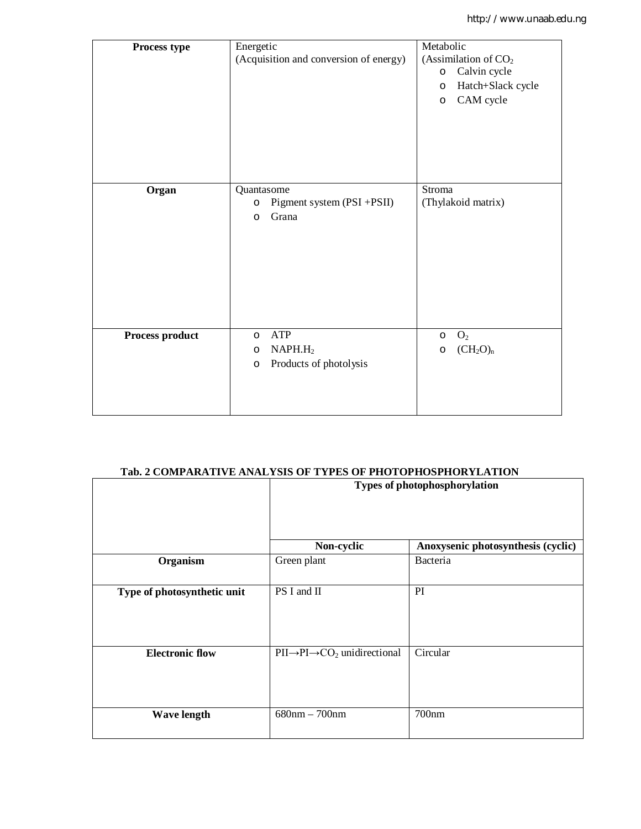| Process type    | Energetic<br>(Acquisition and conversion of energy)                                   | Metabolic<br>(Assimilation of $CO2$<br>Calvin cycle<br>$\circ$<br>Hatch+Slack cycle<br>$\circ$<br>CAM cycle<br>$\circ$ |
|-----------------|---------------------------------------------------------------------------------------|------------------------------------------------------------------------------------------------------------------------|
| Organ           | Quantasome<br>Pigment system (PSI +PSII)<br>$\circ$<br>Grana<br>$\circ$               | Stroma<br>(Thylakoid matrix)                                                                                           |
| Process product | ATP<br>$\circ$<br>NAPH.H <sub>2</sub><br>$\circ$<br>Products of photolysis<br>$\circ$ | O <sub>2</sub><br>$\circ$<br>$(CH_2O)n$<br>$\circ$                                                                     |

### **Tab. 2 COMPARATIVE ANALYSIS OF TYPES OF PHOTOPHOSPHORYLATION**

|                             | Types of photophosphorylation                        |                                    |
|-----------------------------|------------------------------------------------------|------------------------------------|
|                             | Non-cyclic                                           | Anoxysenic photosynthesis (cyclic) |
| Organism                    | Green plant                                          | Bacteria                           |
| Type of photosynthetic unit | PS I and II                                          | PI                                 |
| <b>Electronic flow</b>      | $PII \rightarrow PI \rightarrow CO_2$ unidirectional | Circular                           |
| <b>Wave length</b>          | $680$ nm $- 700$ nm                                  | 700nm                              |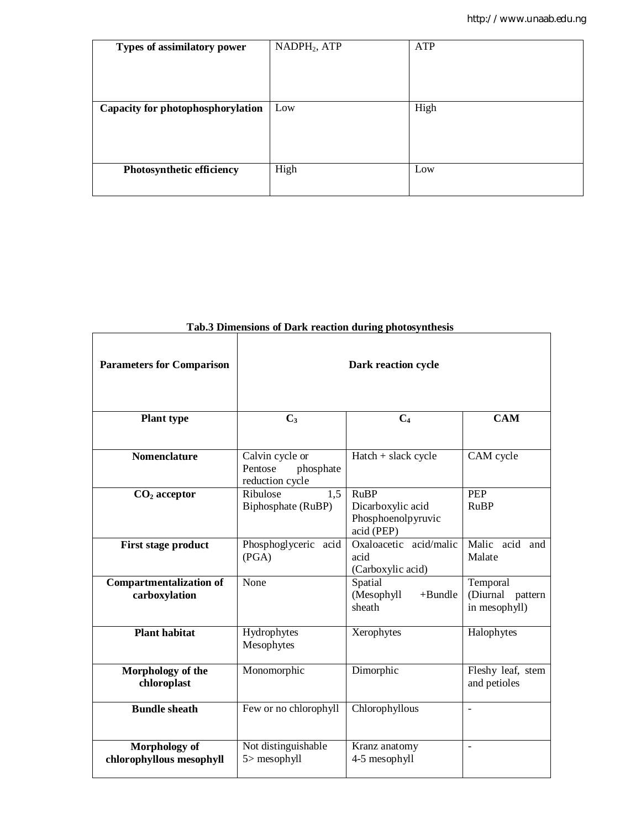| Types of assimilatory power       | NADPH <sub>2</sub> , ATP | <b>ATP</b> |
|-----------------------------------|--------------------------|------------|
| Capacity for photophosphorylation | Low                      | High       |
| Photosynthetic efficiency         | High                     | Low        |

| <b>Parameters for Comparison</b>                | Dark reaction cycle                                        |                                                                      |                                               |  |
|-------------------------------------------------|------------------------------------------------------------|----------------------------------------------------------------------|-----------------------------------------------|--|
| <b>Plant type</b>                               | $C_3$                                                      | C <sub>4</sub>                                                       | <b>CAM</b>                                    |  |
| <b>Nomenclature</b>                             | Calvin cycle or<br>phosphate<br>Pentose<br>reduction cycle | $Hatch + slack cycle$                                                | CAM cycle                                     |  |
| CO <sub>2</sub> acceptor                        | 1,5<br>Ribulose<br>Biphosphate (RuBP)                      | <b>RuBP</b><br>Dicarboxylic acid<br>Phosphoenolpyruvic<br>acid (PEP) | <b>PEP</b><br><b>RuBP</b>                     |  |
| First stage product                             | Phosphoglyceric acid<br>(PGA)                              | Oxaloacetic acid/malic<br>acid<br>(Carboxylic acid)                  | Malic acid and<br>Malate                      |  |
| <b>Compartmentalization of</b><br>carboxylation | None                                                       | Spatial<br>(Mesophyll<br>$+$ Bundle<br>sheath                        | Temporal<br>(Diurnal pattern<br>in mesophyll) |  |
| <b>Plant habitat</b>                            | Hydrophytes<br>Mesophytes                                  | Xerophytes                                                           | Halophytes                                    |  |
| Morphology of the<br>chloroplast                | Monomorphic                                                | Dimorphic                                                            | Fleshy leaf, stem<br>and petioles             |  |
| <b>Bundle</b> sheath                            | Few or no chlorophyll                                      | Chlorophyllous                                                       | $\overline{\phantom{a}}$                      |  |
| Morphology of<br>chlorophyllous mesophyll       | Not distinguishable<br>5> mesophyll                        | Kranz anatomy<br>4-5 mesophyll                                       | $\equiv$                                      |  |

# **Tab.3 Dimensions of Dark reaction during photosynthesis**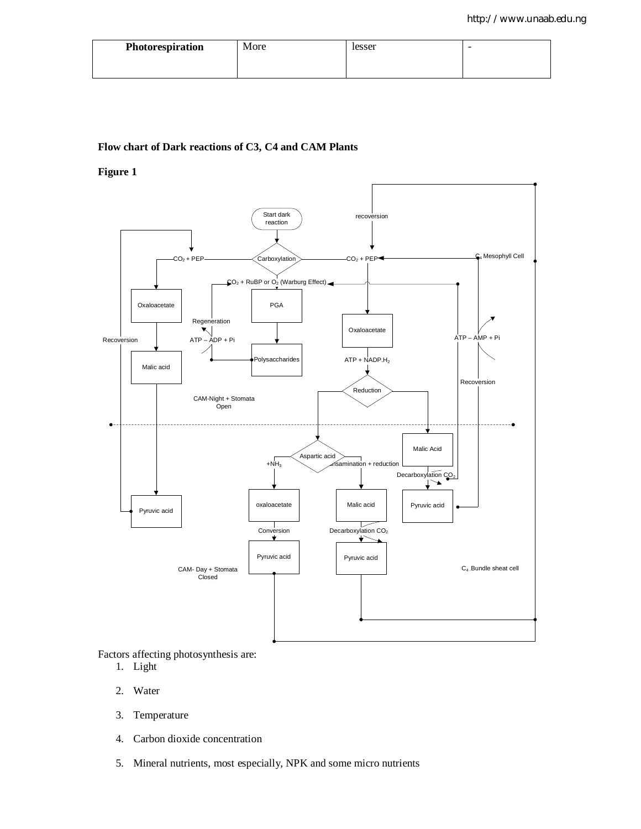| Photorespiration | More | lesser | - |
|------------------|------|--------|---|
|                  |      |        |   |

### **Flow chart of Dark reactions of C3, C4 and CAM Plants**

#### **Figure 1**



Factors affecting photosynthesis are:

- 1. Light
- 2. Water
- 3. Temperature
- 4. Carbon dioxide concentration
- 5. Mineral nutrients, most especially, NPK and some micro nutrients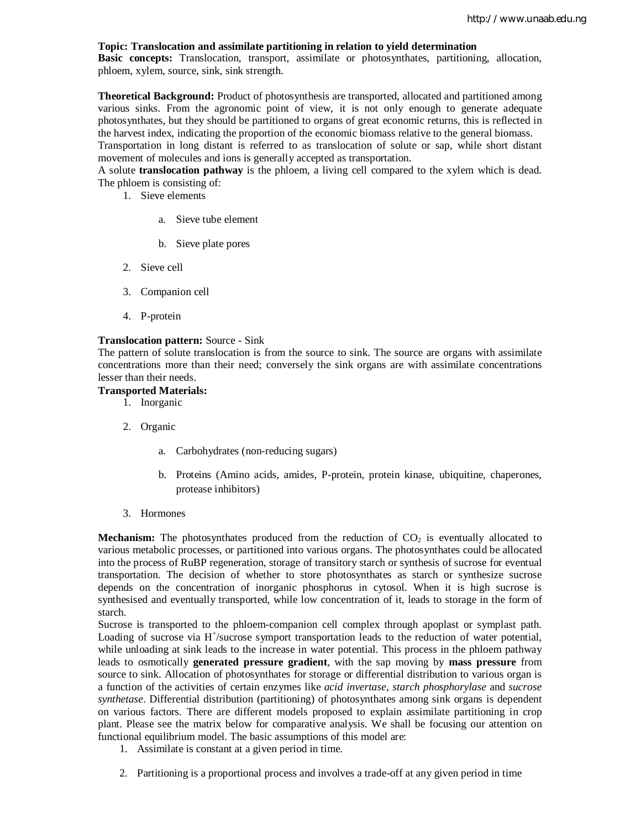#### **Topic: Translocation and assimilate partitioning in relation to yield determination**

**Basic concepts:** Translocation, transport, assimilate or photosynthates, partitioning, allocation, phloem, xylem, source, sink, sink strength.

**Theoretical Background:** Product of photosynthesis are transported, allocated and partitioned among various sinks. From the agronomic point of view, it is not only enough to generate adequate photosynthates, but they should be partitioned to organs of great economic returns, this is reflected in the harvest index, indicating the proportion of the economic biomass relative to the general biomass. Transportation in long distant is referred to as translocation of solute or sap, while short distant movement of molecules and ions is generally accepted as transportation.

A solute **translocation pathway** is the phloem, a living cell compared to the xylem which is dead. The phloem is consisting of:

- 1. Sieve elements
	- a. Sieve tube element
	- b. Sieve plate pores
- 2. Sieve cell
- 3. Companion cell
- 4. P-protein

#### **Translocation pattern:** Source - Sink

The pattern of solute translocation is from the source to sink. The source are organs with assimilate concentrations more than their need; conversely the sink organs are with assimilate concentrations lesser than their needs.

#### **Transported Materials:**

- 1. Inorganic
- 2. Organic
	- a. Carbohydrates (non-reducing sugars)
	- b. Proteins (Amino acids, amides, P-protein, protein kinase, ubiquitine, chaperones, protease inhibitors)
- 3. Hormones

**Mechanism:** The photosynthates produced from the reduction of  $CO<sub>2</sub>$  is eventually allocated to various metabolic processes, or partitioned into various organs. The photosynthates could be allocated into the process of RuBP regeneration, storage of transitory starch or synthesis of sucrose for eventual transportation. The decision of whether to store photosynthates as starch or synthesize sucrose depends on the concentration of inorganic phosphorus in cytosol. When it is high sucrose is synthesised and eventually transported, while low concentration of it, leads to storage in the form of starch.

Sucrose is transported to the phloem-companion cell complex through apoplast or symplast path. Loading of sucrose via H<sup>+</sup>/sucrose symport transportation leads to the reduction of water potential, while unloading at sink leads to the increase in water potential. This process in the phloem pathway leads to osmotically **generated pressure gradient**, with the sap moving by **mass pressure** from source to sink. Allocation of photosynthates for storage or differential distribution to various organ is a function of the activities of certain enzymes like *acid invertase*, *starch phosphorylase* and *sucrose synthetase*. Differential distribution (partitioning) of photosynthates among sink organs is dependent on various factors. There are different models proposed to explain assimilate partitioning in crop plant. Please see the matrix below for comparative analysis. We shall be focusing our attention on functional equilibrium model. The basic assumptions of this model are:

- 1. Assimilate is constant at a given period in time.
- 2. Partitioning is a proportional process and involves a trade-off at any given period in time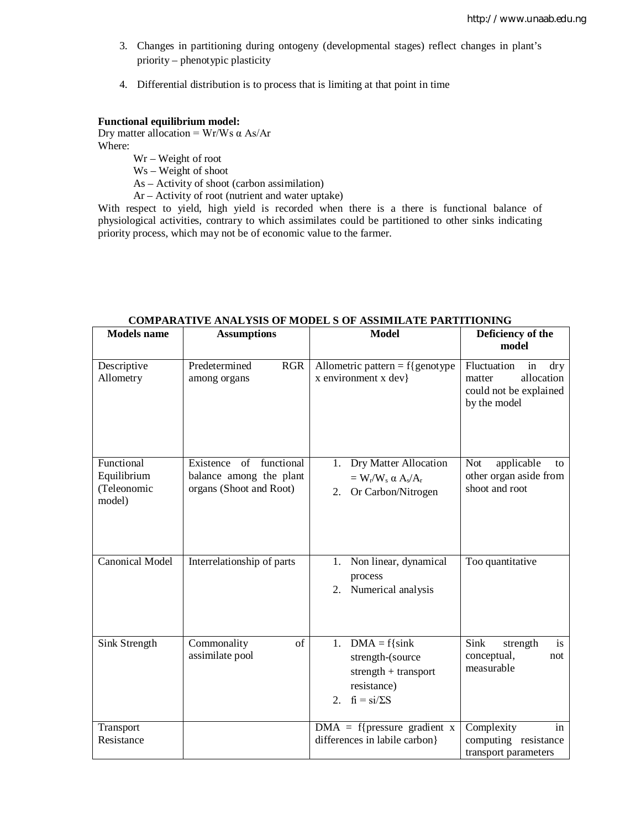- 3. Changes in partitioning during ontogeny (developmental stages) reflect changes in plant's priority – phenotypic plasticity
- 4. Differential distribution is to process that is limiting at that point in time

#### **Functional equilibrium model:**

Dry matter allocation = Wr/Ws α As/Ar Where:

Wr – Weight of root

Ws – Weight of shoot

As – Activity of shoot (carbon assimilation)

Ar – Activity of root (nutrient and water uptake)

With respect to yield, high yield is recorded when there is a there is functional balance of physiological activities, contrary to which assimilates could be partitioned to other sinks indicating priority process, which may not be of economic value to the farmer.

|                                                    |                                                                                     | 2011 RIVELLY L'ANVILLION OF MODELL D'OF RODIGHLE L'AINTENTONNE                                                        |                                                                                                         |
|----------------------------------------------------|-------------------------------------------------------------------------------------|-----------------------------------------------------------------------------------------------------------------------|---------------------------------------------------------------------------------------------------------|
| <b>Models</b> name                                 | <b>Assumptions</b>                                                                  | <b>Model</b>                                                                                                          | Deficiency of the<br>model                                                                              |
| Descriptive<br>Allometry                           | <b>RGR</b><br>Predetermined<br>among organs                                         | Allometric pattern = $f$ {genotype}<br>x environment x dev}                                                           | Fluctuation<br>in<br>$\rm{d}r \rm{v}$<br>allocation<br>matter<br>could not be explained<br>by the model |
| Functional<br>Equilibrium<br>(Teleonomic<br>model) | functional<br>Existence<br>of<br>balance among the plant<br>organs (Shoot and Root) | 1. Dry Matter Allocation<br>$= W_r/W_s \alpha A_s/A_r$<br>Or Carbon/Nitrogen<br>2.                                    | applicable<br><b>Not</b><br>to<br>other organ aside from<br>shoot and root                              |
| <b>Canonical Model</b>                             | Interrelationship of parts                                                          | Non linear, dynamical<br>1.<br>process<br>Numerical analysis<br>2.                                                    | Too quantitative                                                                                        |
| Sink Strength                                      | of<br>Commonality<br>assimilate pool                                                | $DMA = f{\text{sink}}$<br>1.<br>strength-(source<br>$strength + transport$<br>resistance)<br>$fi = si/\Sigma S$<br>2. | Sink<br>is<br>strength<br>conceptual,<br>not<br>measurable                                              |
| Transport<br>Resistance                            |                                                                                     | $DMA = f$ {pressure gradient x<br>differences in labile carbon}                                                       | Complexity<br>in<br>computing resistance<br>transport parameters                                        |

### **COMPARATIVE ANALYSIS OF MODEL S OF ASSIMILATE PARTITIONING**